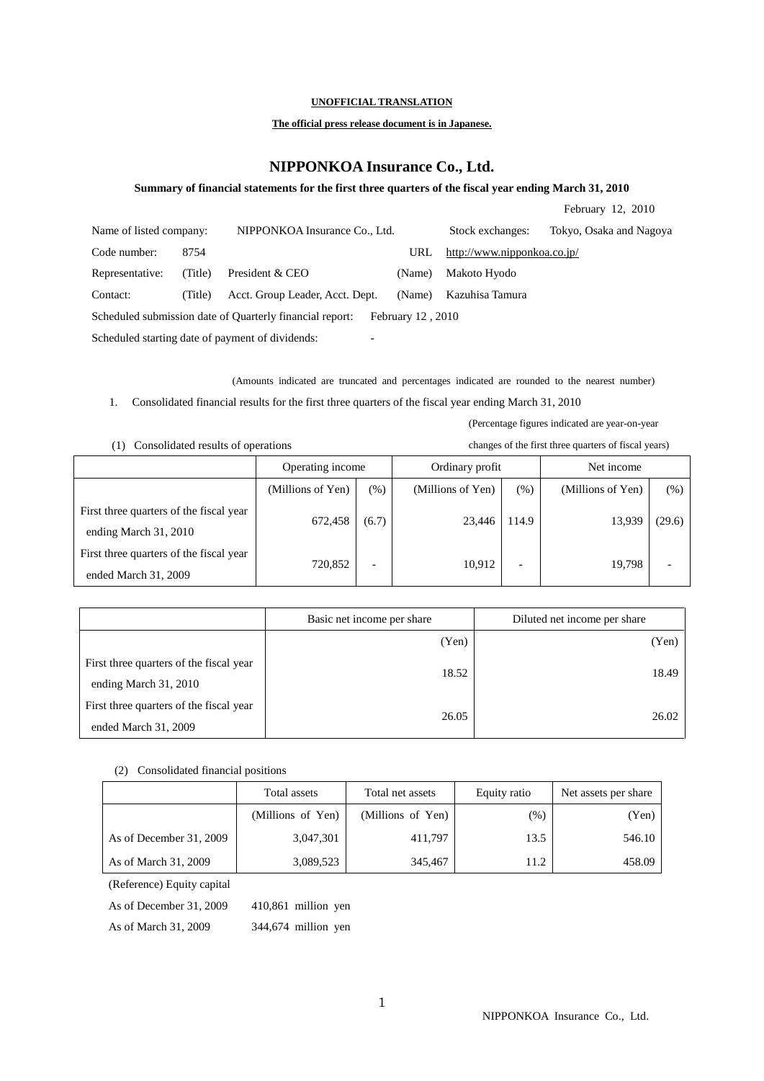### **UNOFFICIAL TRANSLATION**

## **The official press release document is in Japanese.**

# **NIPPONKOA Insurance Co., Ltd.**

### **Summary of financial statements for the first three quarters of the fiscal year ending March 31, 2010**

|                                                                              |         |                                                          |                   |                             | February 12, 2010       |
|------------------------------------------------------------------------------|---------|----------------------------------------------------------|-------------------|-----------------------------|-------------------------|
| Name of listed company:                                                      |         | NIPPONKOA Insurance Co., Ltd.                            |                   | Stock exchanges:            | Tokyo, Osaka and Nagoya |
| Code number:                                                                 | 8754    |                                                          | URL               | http://www.nipponkoa.co.jp/ |                         |
| Representative:                                                              | (Title) | President & CEO                                          | (Name)            | Makoto Hyodo                |                         |
| Contact:                                                                     | (Title) | Acct. Group Leader, Acct. Dept.                          | (Name)            | Kazuhisa Tamura             |                         |
|                                                                              |         | Scheduled submission date of Quarterly financial report: | February 12, 2010 |                             |                         |
| Scheduled starting date of payment of dividends:<br>$\overline{\phantom{0}}$ |         |                                                          |                   |                             |                         |

(Amounts indicated are truncated and percentages indicated are rounded to the nearest number)

1. Consolidated financial results for the first three quarters of the fiscal year ending March 31, 2010

| Consolidated results of operations<br>[1]                        | changes of the first three quarters of fiscal years) |                          |                   |        |                   |        |
|------------------------------------------------------------------|------------------------------------------------------|--------------------------|-------------------|--------|-------------------|--------|
|                                                                  | Operating income                                     |                          | Ordinary profit   |        | Net income        |        |
|                                                                  | (Millions of Yen)                                    | (%)                      | (Millions of Yen) | $(\%)$ | (Millions of Yen) | (%)    |
| First three quarters of the fiscal year<br>ending March 31, 2010 | 672.458                                              | (6.7)                    | 23.446            | 114.9  | 13.939            | (29.6) |
| First three quarters of the fiscal year<br>ended March 31, 2009  | 720,852                                              | $\overline{\phantom{0}}$ | 10,912            |        | 19,798            |        |

|                                                                  | Basic net income per share | Diluted net income per share |
|------------------------------------------------------------------|----------------------------|------------------------------|
|                                                                  | (Yen)                      | (Yen)                        |
| First three quarters of the fiscal year<br>ending March 31, 2010 | 18.52                      | 18.49                        |
| First three quarters of the fiscal year<br>ended March 31, 2009  | 26.05                      | 26.02                        |

#### (2) Consolidated financial positions

|                         | Total assets      | Total net assets  | Equity ratio | Net assets per share |
|-------------------------|-------------------|-------------------|--------------|----------------------|
|                         | (Millions of Yen) | (Millions of Yen) | $(\%)$       | (Yen)                |
| As of December 31, 2009 | 3,047,301         | 411,797           | 13.5         | 546.10               |
| As of March 31, 2009    | 3,089,523         | 345,467           | 11.2         | 458.09               |

(Reference) Equity capital

As of December 31, 2009 410,861 million yen

As of March 31, 2009 344,674 million yen

(Percentage figures indicated are year-on-year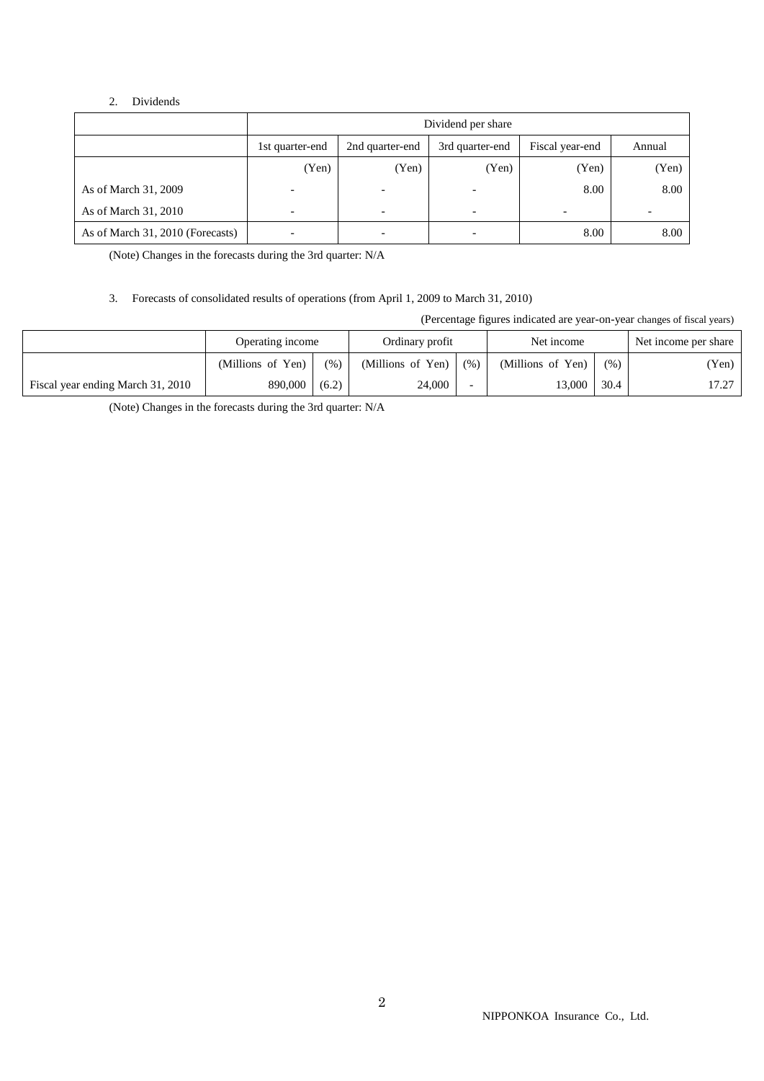### 2. Dividends

|                                  | Dividend per share       |                          |                          |                 |        |  |  |
|----------------------------------|--------------------------|--------------------------|--------------------------|-----------------|--------|--|--|
|                                  | 1st quarter-end          | 2nd quarter-end          | 3rd quarter-end          | Fiscal year-end | Annual |  |  |
|                                  | (Yen)                    | (Yen)                    | (Yen)                    | (Yen)           | (Yen)  |  |  |
| As of March 31, 2009             | $\overline{\phantom{a}}$ |                          | $\overline{\phantom{0}}$ | 8.00            | 8.00   |  |  |
| As of March 31, 2010             | $\overline{\phantom{a}}$ | $\overline{\phantom{0}}$ | $\overline{\phantom{a}}$ |                 |        |  |  |
| As of March 31, 2010 (Forecasts) | $\overline{\phantom{a}}$ | $\overline{\phantom{a}}$ | $\overline{a}$           | 8.00            | 8.00   |  |  |

(Note) Changes in the forecasts during the 3rd quarter: N/A

## 3. Forecasts of consolidated results of operations (from April 1, 2009 to March 31, 2010)

(Percentage figures indicated are year-on-year changes of fiscal years)

|                                   | Operating income  |       | Ordinary profit   |      | Net income        |      | Net income per share |
|-----------------------------------|-------------------|-------|-------------------|------|-------------------|------|----------------------|
|                                   | (Millions of Yen) | (% )  | (Millions of Yen) | (% ) | (Millions of Yen) | (% ) | (Yen)                |
| Fiscal year ending March 31, 2010 | 890,000           | (6.2) | 24,000            |      | 13.000            | 30.4 | 17.27                |

(Note) Changes in the forecasts during the 3rd quarter: N/A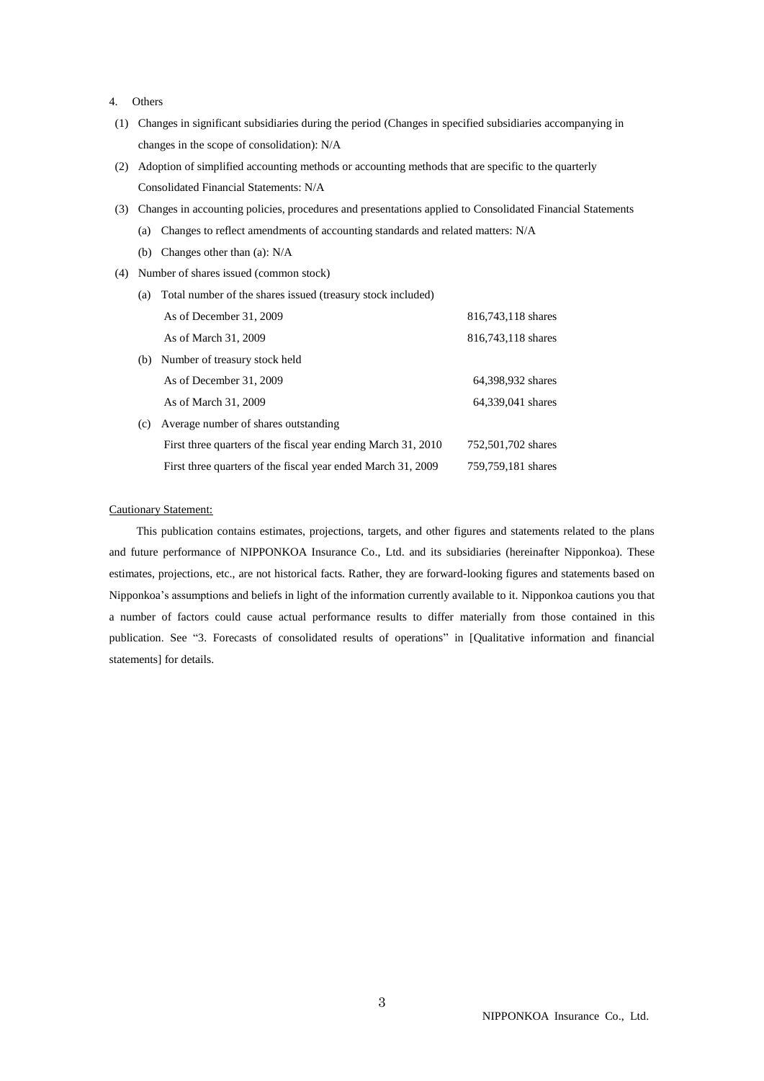- 4. Others
- (1) Changes in significant subsidiaries during the period (Changes in specified subsidiaries accompanying in changes in the scope of consolidation): N/A
- (2) Adoption of simplified accounting methods or accounting methods that are specific to the quarterly Consolidated Financial Statements: N/A
- (3) Changes in accounting policies, procedures and presentations applied to Consolidated Financial Statements
	- (a) Changes to reflect amendments of accounting standards and related matters: N/A
	- (b) Changes other than (a): N/A
- (4) Number of shares issued (common stock)
	- (a) Total number of the shares issued (treasury stock included) As of December 31, 2009 816,743,118 shares As of March 31, 2009 816,743,118 shares (b) Number of treasury stock held
	- As of December 31, 2009 64,398,932 shares As of March 31, 2009 64,339,041 shares (c) Average number of shares outstanding First three quarters of the fiscal year ending March 31, 2010 752,501,702 shares First three quarters of the fiscal year ended March 31, 2009 759,759,181 shares

### Cautionary Statement:

This publication contains estimates, projections, targets, and other figures and statements related to the plans and future performance of NIPPONKOA Insurance Co., Ltd. and its subsidiaries (hereinafter Nipponkoa). These estimates, projections, etc., are not historical facts. Rather, they are forward-looking figures and statements based on Nipponkoa's assumptions and beliefs in light of the information currently available to it. Nipponkoa cautions you that a number of factors could cause actual performance results to differ materially from those contained in this publication. See "3. Forecasts of consolidated results of operations" in [Qualitative information and financial statements] for details.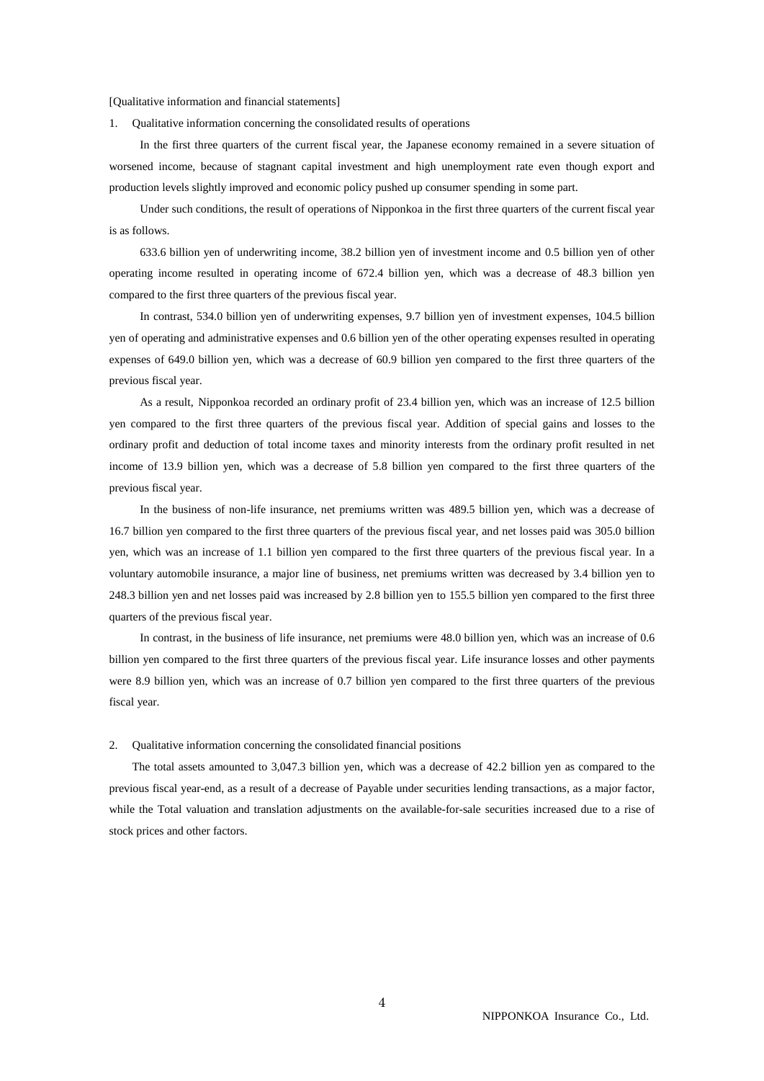#### [Qualitative information and financial statements]

1. Qualitative information concerning the consolidated results of operations

In the first three quarters of the current fiscal year, the Japanese economy remained in a severe situation of worsened income, because of stagnant capital investment and high unemployment rate even though export and production levels slightly improved and economic policy pushed up consumer spending in some part.

Under such conditions, the result of operations of Nipponkoa in the first three quarters of the current fiscal year is as follows.

633.6 billion yen of underwriting income, 38.2 billion yen of investment income and 0.5 billion yen of other operating income resulted in operating income of 672.4 billion yen, which was a decrease of 48.3 billion yen compared to the first three quarters of the previous fiscal year.

In contrast, 534.0 billion yen of underwriting expenses, 9.7 billion yen of investment expenses, 104.5 billion yen of operating and administrative expenses and 0.6 billion yen of the other operating expenses resulted in operating expenses of 649.0 billion yen, which was a decrease of 60.9 billion yen compared to the first three quarters of the previous fiscal year.

As a result, Nipponkoa recorded an ordinary profit of 23.4 billion yen, which was an increase of 12.5 billion yen compared to the first three quarters of the previous fiscal year. Addition of special gains and losses to the ordinary profit and deduction of total income taxes and minority interests from the ordinary profit resulted in net income of 13.9 billion yen, which was a decrease of 5.8 billion yen compared to the first three quarters of the previous fiscal year.

In the business of non-life insurance, net premiums written was 489.5 billion yen, which was a decrease of 16.7 billion yen compared to the first three quarters of the previous fiscal year, and net losses paid was 305.0 billion yen, which was an increase of 1.1 billion yen compared to the first three quarters of the previous fiscal year. In a voluntary automobile insurance, a major line of business, net premiums written was decreased by 3.4 billion yen to 248.3 billion yen and net losses paid was increased by 2.8 billion yen to 155.5 billion yen compared to the first three quarters of the previous fiscal year.

In contrast, in the business of life insurance, net premiums were 48.0 billion yen, which was an increase of 0.6 billion yen compared to the first three quarters of the previous fiscal year. Life insurance losses and other payments were 8.9 billion yen, which was an increase of 0.7 billion yen compared to the first three quarters of the previous fiscal year.

#### 2. Qualitative information concerning the consolidated financial positions

The total assets amounted to 3,047.3 billion yen, which was a decrease of 42.2 billion yen as compared to the previous fiscal year-end, as a result of a decrease of Payable under securities lending transactions, as a major factor, while the Total valuation and translation adjustments on the available-for-sale securities increased due to a rise of stock prices and other factors.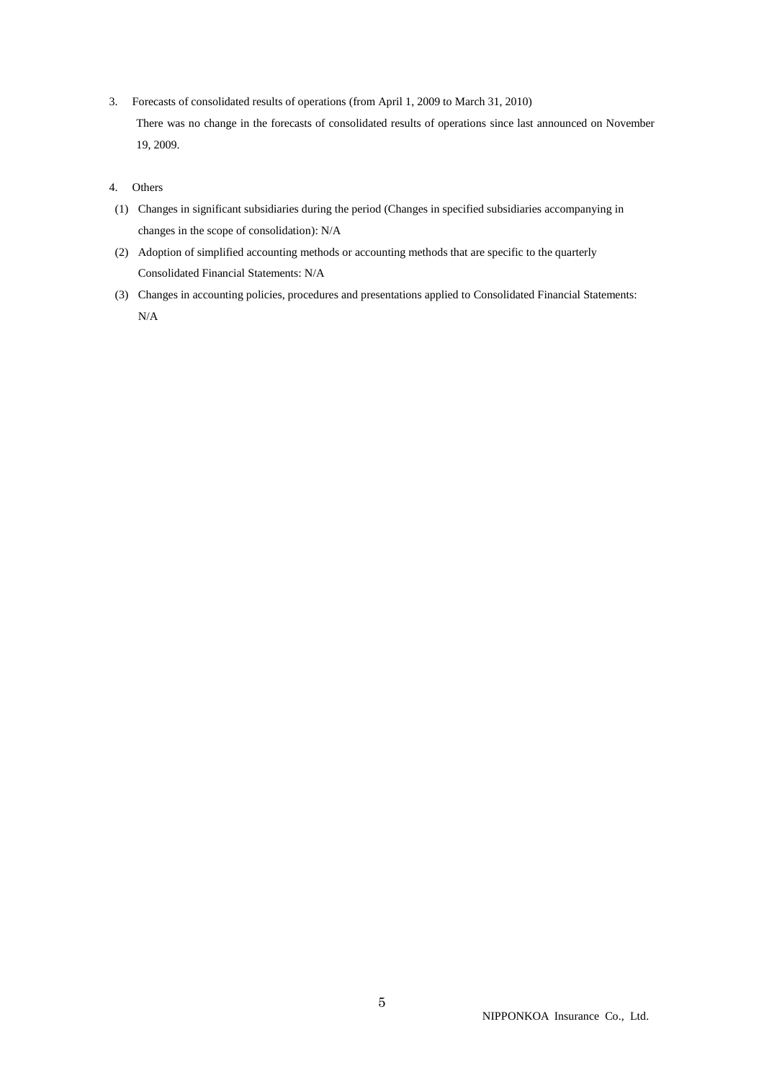3. Forecasts of consolidated results of operations (from April 1, 2009 to March 31, 2010) There was no change in the forecasts of consolidated results of operations since last announced on November 19, 2009.

### 4. Others

- (1) Changes in significant subsidiaries during the period (Changes in specified subsidiaries accompanying in changes in the scope of consolidation): N/A
- (2) Adoption of simplified accounting methods or accounting methods that are specific to the quarterly Consolidated Financial Statements: N/A
- (3) Changes in accounting policies, procedures and presentations applied to Consolidated Financial Statements: N/A

NIPPONKOA Insurance Co., Ltd.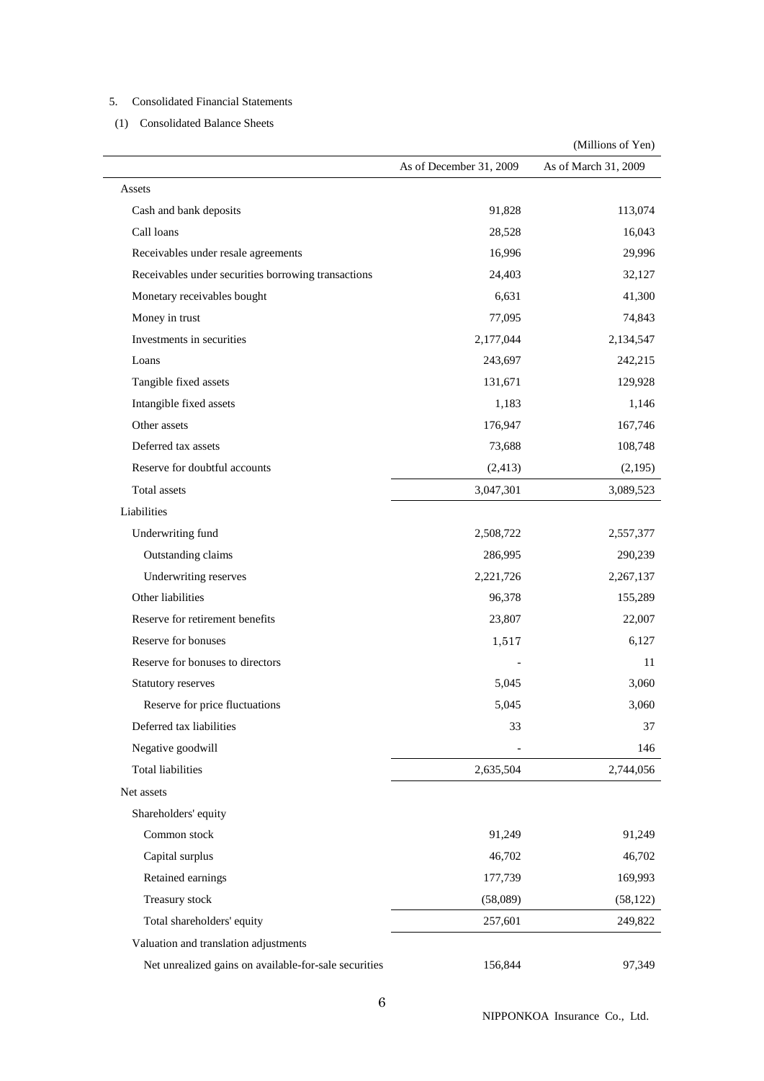## 5. Consolidated Financial Statements

(1) Consolidated Balance Sheets

|                                                       | As of December 31, 2009 | As of March 31, 2009 |
|-------------------------------------------------------|-------------------------|----------------------|
| Assets                                                |                         |                      |
| Cash and bank deposits                                | 91,828                  | 113,074              |
| Call loans                                            | 28,528                  | 16,043               |
| Receivables under resale agreements                   | 16,996                  | 29,996               |
| Receivables under securities borrowing transactions   | 24,403                  | 32,127               |
| Monetary receivables bought                           | 6,631                   | 41,300               |
| Money in trust                                        | 77,095                  | 74,843               |
| Investments in securities                             | 2,177,044               | 2,134,547            |
| Loans                                                 | 243,697                 | 242,215              |
| Tangible fixed assets                                 | 131,671                 | 129,928              |
| Intangible fixed assets                               | 1,183                   | 1,146                |
| Other assets                                          | 176,947                 | 167,746              |
| Deferred tax assets                                   | 73,688                  | 108,748              |
| Reserve for doubtful accounts                         | (2, 413)                | (2,195)              |
| <b>Total</b> assets                                   | 3,047,301               | 3,089,523            |
| Liabilities                                           |                         |                      |
| Underwriting fund                                     | 2,508,722               | 2,557,377            |
| Outstanding claims                                    | 286,995                 | 290,239              |
| Underwriting reserves                                 | 2,221,726               | 2,267,137            |
| Other liabilities                                     | 96,378                  | 155,289              |
| Reserve for retirement benefits                       | 23,807                  | 22,007               |
| Reserve for bonuses                                   | 1,517                   | 6,127                |
| Reserve for bonuses to directors                      |                         | 11                   |
| Statutory reserves                                    | 5,045                   | 3,060                |
| Reserve for price fluctuations                        | 5,045                   | 3,060                |
| Deferred tax liabilities                              | 33                      | 37                   |
| Negative goodwill                                     |                         | 146                  |
| <b>Total liabilities</b>                              | 2,635,504               | 2,744,056            |
| Net assets                                            |                         |                      |
| Shareholders' equity                                  |                         |                      |
| Common stock                                          | 91,249                  | 91,249               |
| Capital surplus                                       | 46,702                  | 46,702               |
| Retained earnings                                     | 177,739                 | 169,993              |
| Treasury stock                                        | (58,089)                | (58, 122)            |
| Total shareholders' equity                            | 257,601                 | 249,822              |
| Valuation and translation adjustments                 |                         |                      |
| Net unrealized gains on available-for-sale securities | 156,844                 | 97,349               |

(Millions of Yen)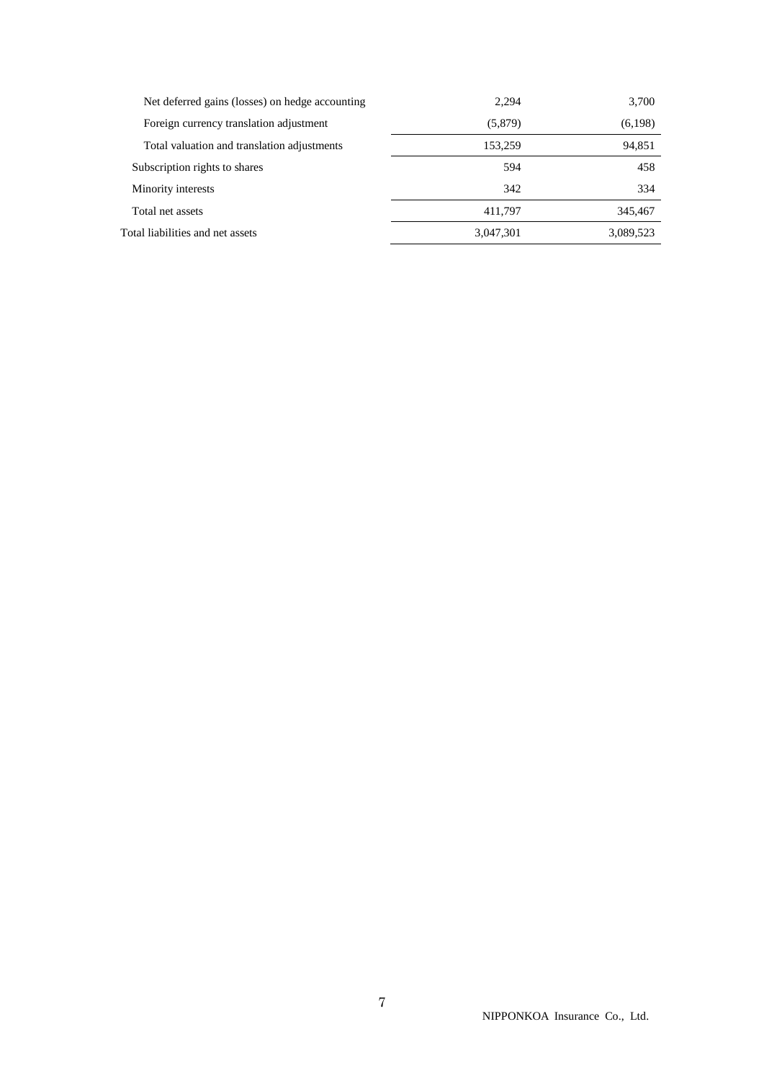| Net deferred gains (losses) on hedge accounting | 2.294     | 3,700     |
|-------------------------------------------------|-----------|-----------|
| Foreign currency translation adjustment         | (5,879)   | (6,198)   |
| Total valuation and translation adjustments     | 153,259   | 94,851    |
| Subscription rights to shares                   | 594       | 458       |
| Minority interests                              | 342       | 334       |
| Total net assets                                | 411.797   | 345,467   |
| Total liabilities and net assets                | 3,047,301 | 3,089,523 |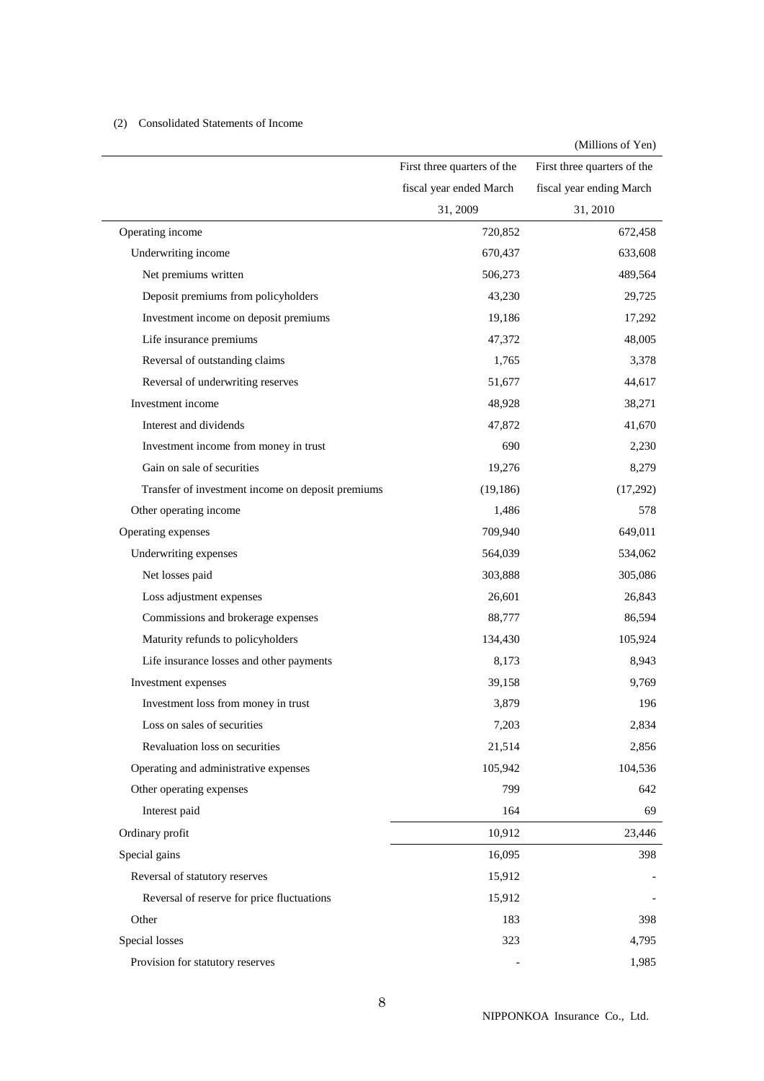## (2) Consolidated Statements of Income

|                                                   |                             | (Millions of Yen)           |
|---------------------------------------------------|-----------------------------|-----------------------------|
|                                                   | First three quarters of the | First three quarters of the |
|                                                   | fiscal year ended March     | fiscal year ending March    |
|                                                   | 31, 2009                    | 31, 2010                    |
| Operating income                                  | 720,852                     | 672,458                     |
| Underwriting income                               | 670,437                     | 633,608                     |
| Net premiums written                              | 506,273                     | 489,564                     |
| Deposit premiums from policyholders               | 43,230                      | 29,725                      |
| Investment income on deposit premiums             | 19,186                      | 17,292                      |
| Life insurance premiums                           | 47,372                      | 48,005                      |
| Reversal of outstanding claims                    | 1,765                       | 3,378                       |
| Reversal of underwriting reserves                 | 51,677                      | 44,617                      |
| Investment income                                 | 48,928                      | 38,271                      |
| Interest and dividends                            | 47,872                      | 41,670                      |
| Investment income from money in trust             | 690                         | 2,230                       |
| Gain on sale of securities                        | 19,276                      | 8,279                       |
| Transfer of investment income on deposit premiums | (19, 186)                   | (17,292)                    |
| Other operating income                            | 1,486                       | 578                         |
| Operating expenses                                | 709,940                     | 649,011                     |
| Underwriting expenses                             | 564,039                     | 534,062                     |
| Net losses paid                                   | 303,888                     | 305,086                     |
| Loss adjustment expenses                          | 26,601                      | 26,843                      |
| Commissions and brokerage expenses                | 88,777                      | 86,594                      |
| Maturity refunds to policyholders                 | 134,430                     | 105,924                     |
| Life insurance losses and other payments          | 8,173                       | 8,943                       |
| Investment expenses                               | 39,158                      | 9,769                       |
| Investment loss from money in trust               | 3,879                       | 196                         |
| Loss on sales of securities                       | 7,203                       | 2,834                       |
| Revaluation loss on securities                    | 21,514                      | 2,856                       |
| Operating and administrative expenses             | 105,942                     | 104,536                     |
| Other operating expenses                          | 799                         | 642                         |
| Interest paid                                     | 164                         | 69                          |
| Ordinary profit                                   | 10,912                      | 23,446                      |
| Special gains                                     | 16,095                      | 398                         |
| Reversal of statutory reserves                    | 15,912                      |                             |
| Reversal of reserve for price fluctuations        | 15,912                      |                             |
| Other                                             | 183                         | 398                         |
| Special losses                                    | 323                         | 4,795                       |
| Provision for statutory reserves                  |                             | 1,985                       |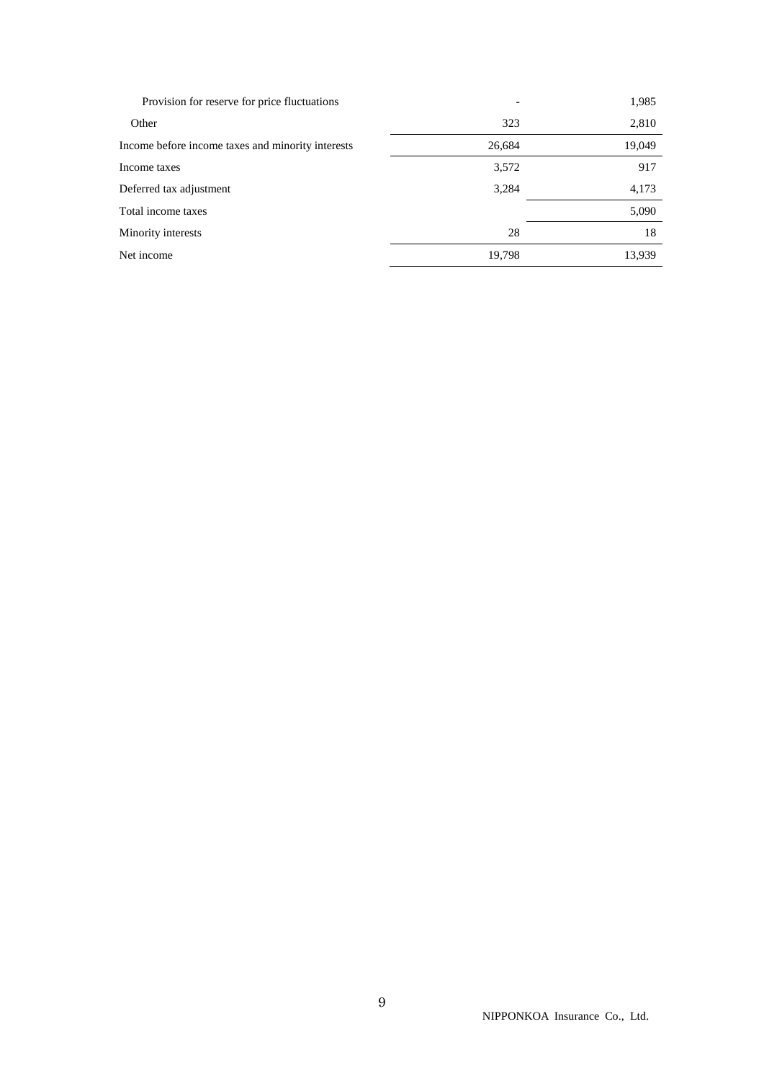| Provision for reserve for price fluctuations      |        | 1,985  |
|---------------------------------------------------|--------|--------|
| Other                                             | 323    | 2,810  |
| Income before income taxes and minority interests | 26,684 | 19,049 |
| Income taxes                                      | 3,572  | 917    |
| Deferred tax adjustment                           | 3,284  | 4,173  |
| Total income taxes                                |        | 5,090  |
| Minority interests                                | 28     | 18     |
| Net income                                        | 19,798 | 13.939 |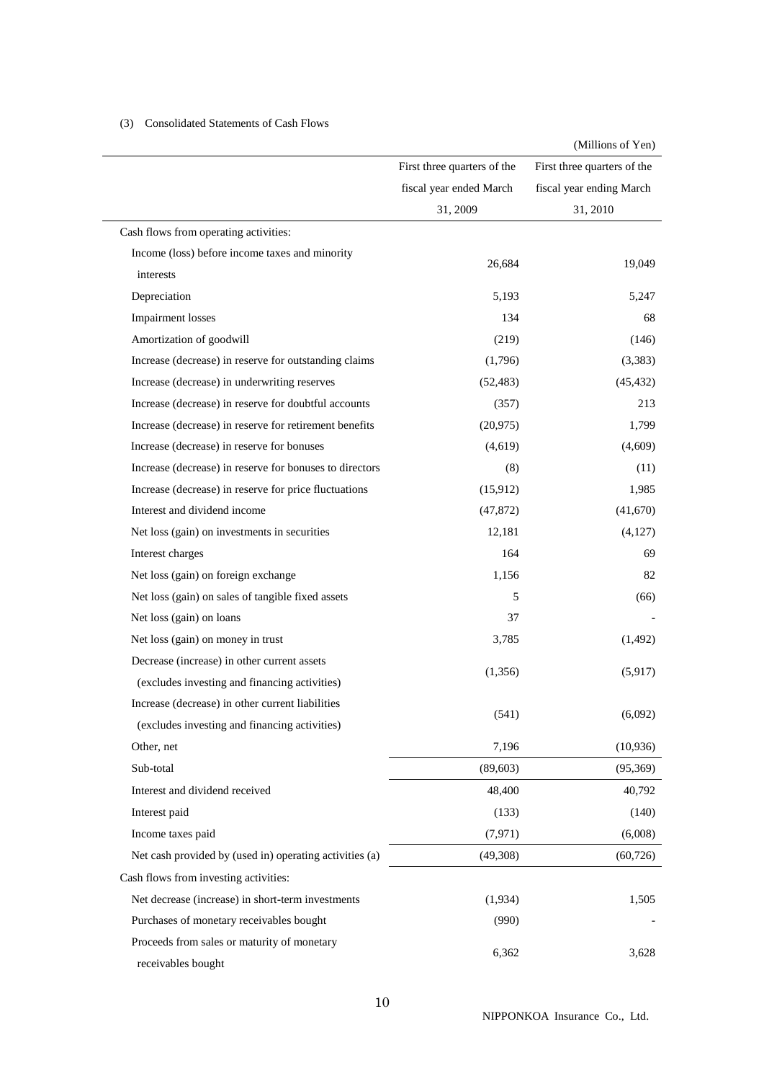|                                                         |                             | (Millions of Yen)           |
|---------------------------------------------------------|-----------------------------|-----------------------------|
|                                                         | First three quarters of the | First three quarters of the |
|                                                         | fiscal year ended March     | fiscal year ending March    |
|                                                         | 31, 2009                    | 31, 2010                    |
| Cash flows from operating activities:                   |                             |                             |
| Income (loss) before income taxes and minority          |                             |                             |
| interests                                               | 26,684                      | 19,049                      |
| Depreciation                                            | 5,193                       | 5,247                       |
| <b>Impairment</b> losses                                | 134                         | 68                          |
| Amortization of goodwill                                | (219)                       | (146)                       |
| Increase (decrease) in reserve for outstanding claims   | (1,796)                     | (3,383)                     |
| Increase (decrease) in underwriting reserves            | (52, 483)                   | (45, 432)                   |
| Increase (decrease) in reserve for doubtful accounts    | (357)                       | 213                         |
| Increase (decrease) in reserve for retirement benefits  | (20, 975)                   | 1,799                       |
| Increase (decrease) in reserve for bonuses              | (4,619)                     | (4,609)                     |
| Increase (decrease) in reserve for bonuses to directors | (8)                         | (11)                        |
| Increase (decrease) in reserve for price fluctuations   | (15,912)                    | 1,985                       |
| Interest and dividend income                            | (47, 872)                   | (41,670)                    |
| Net loss (gain) on investments in securities            | 12,181                      | (4,127)                     |
| Interest charges                                        | 164                         | 69                          |
| Net loss (gain) on foreign exchange                     | 1,156                       | 82                          |
| Net loss (gain) on sales of tangible fixed assets       | 5                           | (66)                        |
| Net loss (gain) on loans                                | 37                          |                             |
| Net loss (gain) on money in trust                       | 3,785                       | (1, 492)                    |
| Decrease (increase) in other current assets             |                             |                             |
| (excludes investing and financing activities)           | (1,356)                     | (5,917)                     |
| Increase (decrease) in other current liabilities        |                             |                             |
| (excludes investing and financing activities)           | (541)                       | (6,092)                     |
| Other, net                                              | 7,196                       | (10, 936)                   |
| Sub-total                                               | (89, 603)                   | (95,369)                    |
| Interest and dividend received                          | 48,400                      | 40,792                      |
| Interest paid                                           | (133)                       | (140)                       |
| Income taxes paid                                       | (7, 971)                    | (6,008)                     |
| Net cash provided by (used in) operating activities (a) | (49,308)                    | (60, 726)                   |
| Cash flows from investing activities:                   |                             |                             |
| Net decrease (increase) in short-term investments       | (1,934)                     | 1,505                       |
| Purchases of monetary receivables bought                | (990)                       |                             |
| Proceeds from sales or maturity of monetary             |                             |                             |
| receivables bought                                      | 6,362                       | 3,628                       |

## (3) Consolidated Statements of Cash Flows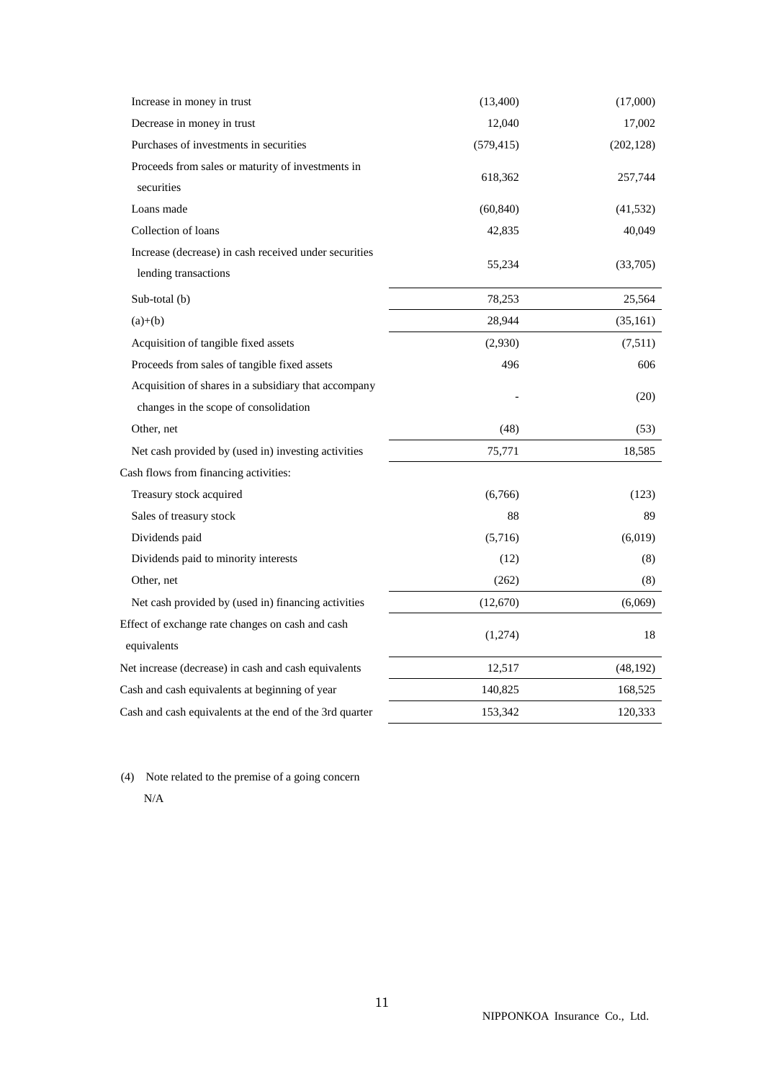| Increase in money in trust                                                                    | (13,400)   | (17,000)   |
|-----------------------------------------------------------------------------------------------|------------|------------|
| Decrease in money in trust                                                                    | 12,040     | 17,002     |
| Purchases of investments in securities                                                        | (579, 415) | (202, 128) |
| Proceeds from sales or maturity of investments in<br>securities                               | 618,362    | 257,744    |
| Loans made                                                                                    | (60, 840)  | (41, 532)  |
| Collection of loans                                                                           | 42,835     | 40,049     |
| Increase (decrease) in cash received under securities<br>lending transactions                 | 55,234     | (33,705)   |
| Sub-total (b)                                                                                 | 78,253     | 25,564     |
| $(a)+(b)$                                                                                     | 28,944     | (35, 161)  |
| Acquisition of tangible fixed assets                                                          | (2,930)    | (7,511)    |
| Proceeds from sales of tangible fixed assets                                                  | 496        | 606        |
| Acquisition of shares in a subsidiary that accompany<br>changes in the scope of consolidation |            | (20)       |
| Other, net                                                                                    | (48)       | (53)       |
| Net cash provided by (used in) investing activities                                           | 75,771     | 18,585     |
| Cash flows from financing activities:                                                         |            |            |
| Treasury stock acquired                                                                       | (6,766)    | (123)      |
| Sales of treasury stock                                                                       | 88         | 89         |
| Dividends paid                                                                                | (5,716)    | (6,019)    |
| Dividends paid to minority interests                                                          | (12)       | (8)        |
| Other, net                                                                                    | (262)      | (8)        |
| Net cash provided by (used in) financing activities                                           | (12,670)   | (6,069)    |
| Effect of exchange rate changes on cash and cash<br>equivalents                               | (1,274)    | 18         |
| Net increase (decrease) in cash and cash equivalents                                          | 12,517     | (48, 192)  |
| Cash and cash equivalents at beginning of year                                                | 140,825    | 168,525    |
| Cash and cash equivalents at the end of the 3rd quarter                                       | 153,342    | 120,333    |

 (4) Note related to the premise of a going concern N/A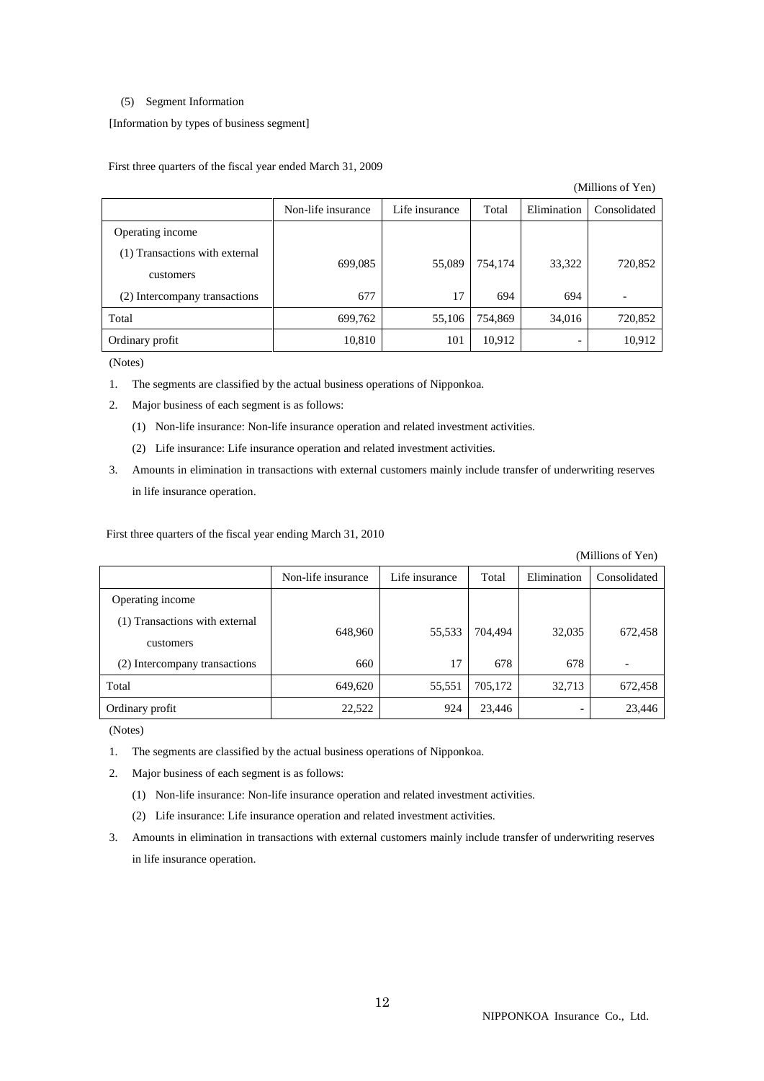#### (5) Segment Information

[Information by types of business segment]

First three quarters of the fiscal year ended March 31, 2009

(Millions of Yen)

|                                | Non-life insurance | Life insurance | Total   | Elimination | Consolidated |
|--------------------------------|--------------------|----------------|---------|-------------|--------------|
| Operating income               |                    |                |         |             |              |
| (1) Transactions with external | 699,085            | 55,089         | 754,174 |             | 720,852      |
| customers                      |                    |                |         | 33,322      |              |
| (2) Intercompany transactions  | 677                | 17             | 694     | 694         |              |
| Total                          | 699,762            | 55,106         | 754,869 | 34,016      | 720,852      |
| Ordinary profit                | 10,810             | 101            | 10,912  |             | 10,912       |

(Notes)

- 1. The segments are classified by the actual business operations of Nipponkoa.
- 2. Major business of each segment is as follows:
	- (1) Non-life insurance: Non-life insurance operation and related investment activities.
	- (2) Life insurance: Life insurance operation and related investment activities.
- 3. Amounts in elimination in transactions with external customers mainly include transfer of underwriting reserves in life insurance operation.

First three quarters of the fiscal year ending March 31, 2010

(Millions of Yen)

|                                             | Non-life insurance | Life insurance | Total   | Elimination | Consolidated |
|---------------------------------------------|--------------------|----------------|---------|-------------|--------------|
| Operating income                            |                    |                |         |             |              |
| (1) Transactions with external<br>customers | 648,960            | 55,533         | 704,494 | 32,035      | 672,458      |
| (2) Intercompany transactions               | 660                | 17             | 678     | 678         |              |
| Total                                       | 649,620            | 55,551         | 705,172 | 32,713      | 672,458      |
| Ordinary profit                             | 22,522             | 924            | 23,446  |             | 23,446       |

(Notes)

- 1. The segments are classified by the actual business operations of Nipponkoa.
- 2. Major business of each segment is as follows:
	- (1) Non-life insurance: Non-life insurance operation and related investment activities.
	- (2) Life insurance: Life insurance operation and related investment activities.
- 3. Amounts in elimination in transactions with external customers mainly include transfer of underwriting reserves in life insurance operation.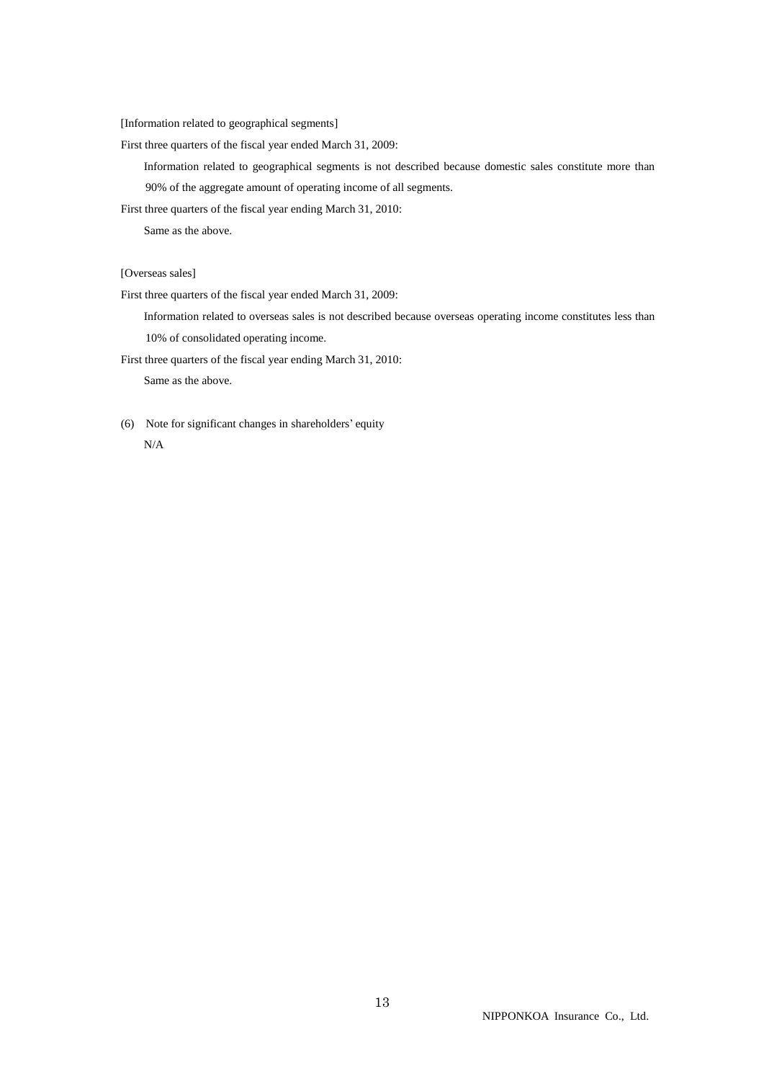[Information related to geographical segments]

First three quarters of the fiscal year ended March 31, 2009:

 Information related to geographical segments is not described because domestic sales constitute more than 90% of the aggregate amount of operating income of all segments.

First three quarters of the fiscal year ending March 31, 2010:

Same as the above.

[Overseas sales]

First three quarters of the fiscal year ended March 31, 2009:

 Information related to overseas sales is not described because overseas operating income constitutes less than 10% of consolidated operating income.

First three quarters of the fiscal year ending March 31, 2010:

Same as the above.

 (6) Note for significant changes in shareholders' equity  $N/A$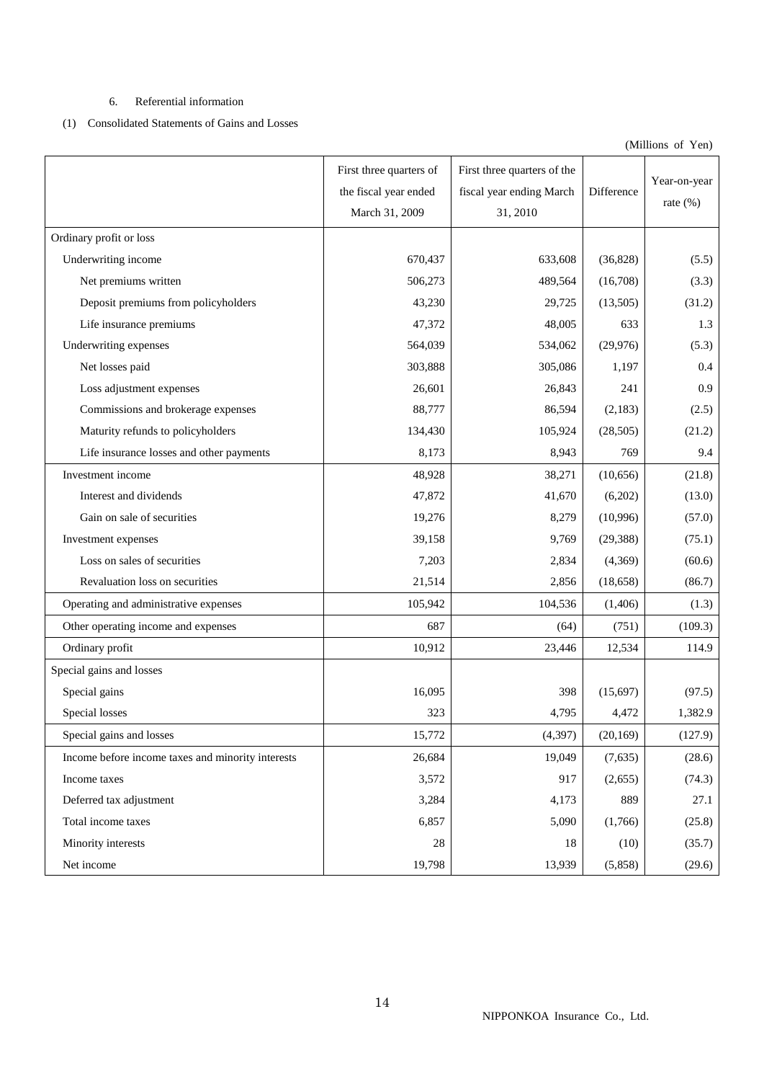## 6. Referential information

## (1) Consolidated Statements of Gains and Losses

(Millions of Yen)

|                                                   | First three quarters of<br>the fiscal year ended<br>March 31, 2009 | First three quarters of the<br>fiscal year ending March<br>31, 2010 | Difference | Year-on-year<br>rate $(\%)$ |
|---------------------------------------------------|--------------------------------------------------------------------|---------------------------------------------------------------------|------------|-----------------------------|
| Ordinary profit or loss                           |                                                                    |                                                                     |            |                             |
| Underwriting income                               | 670,437                                                            | 633,608                                                             | (36,828)   | (5.5)                       |
| Net premiums written                              | 506,273                                                            | 489,564                                                             | (16,708)   | (3.3)                       |
| Deposit premiums from policyholders               | 43,230                                                             | 29,725                                                              | (13,505)   | (31.2)                      |
| Life insurance premiums                           | 47,372                                                             | 48,005                                                              | 633        | 1.3                         |
| Underwriting expenses                             | 564,039                                                            | 534,062                                                             | (29, 976)  | (5.3)                       |
| Net losses paid                                   | 303,888                                                            | 305,086                                                             | 1,197      | 0.4                         |
| Loss adjustment expenses                          | 26,601                                                             | 26,843                                                              | 241        | 0.9                         |
| Commissions and brokerage expenses                | 88,777                                                             | 86,594                                                              | (2,183)    | (2.5)                       |
| Maturity refunds to policyholders                 | 134,430                                                            | 105,924                                                             | (28, 505)  | (21.2)                      |
| Life insurance losses and other payments          | 8,173                                                              | 8,943                                                               | 769        | 9.4                         |
| Investment income                                 | 48,928                                                             | 38,271                                                              | (10, 656)  | (21.8)                      |
| Interest and dividends                            | 47,872                                                             | 41,670                                                              | (6,202)    | (13.0)                      |
| Gain on sale of securities                        | 19,276                                                             | 8,279                                                               | (10,996)   | (57.0)                      |
| Investment expenses                               | 39,158                                                             | 9,769                                                               | (29, 388)  | (75.1)                      |
| Loss on sales of securities                       | 7,203                                                              | 2,834                                                               | (4,369)    | (60.6)                      |
| Revaluation loss on securities                    | 21,514                                                             | 2,856                                                               | (18, 658)  | (86.7)                      |
| Operating and administrative expenses             | 105,942                                                            | 104,536                                                             | (1,406)    | (1.3)                       |
| Other operating income and expenses               | 687                                                                | (64)                                                                | (751)      | (109.3)                     |
| Ordinary profit                                   | 10,912                                                             | 23,446                                                              | 12,534     | 114.9                       |
| Special gains and losses                          |                                                                    |                                                                     |            |                             |
| Special gains                                     | 16,095                                                             | 398                                                                 | (15,697)   | (97.5)                      |
| Special losses                                    | 323                                                                | 4,795                                                               | 4,472      | 1,382.9                     |
| Special gains and losses                          | 15,772                                                             | (4,397)                                                             | (20,169)   | (127.9)                     |
| Income before income taxes and minority interests | 26,684                                                             | 19,049                                                              | (7,635)    | (28.6)                      |
| Income taxes                                      | 3,572                                                              | 917                                                                 | (2,655)    | (74.3)                      |
| Deferred tax adjustment                           | 3,284                                                              | 4,173                                                               | 889        | 27.1                        |
| Total income taxes                                | 6,857                                                              | 5,090                                                               | (1,766)    | (25.8)                      |
| Minority interests                                | 28                                                                 | 18                                                                  | (10)       | (35.7)                      |
| Net income                                        | 19,798                                                             | 13,939                                                              | (5,858)    | (29.6)                      |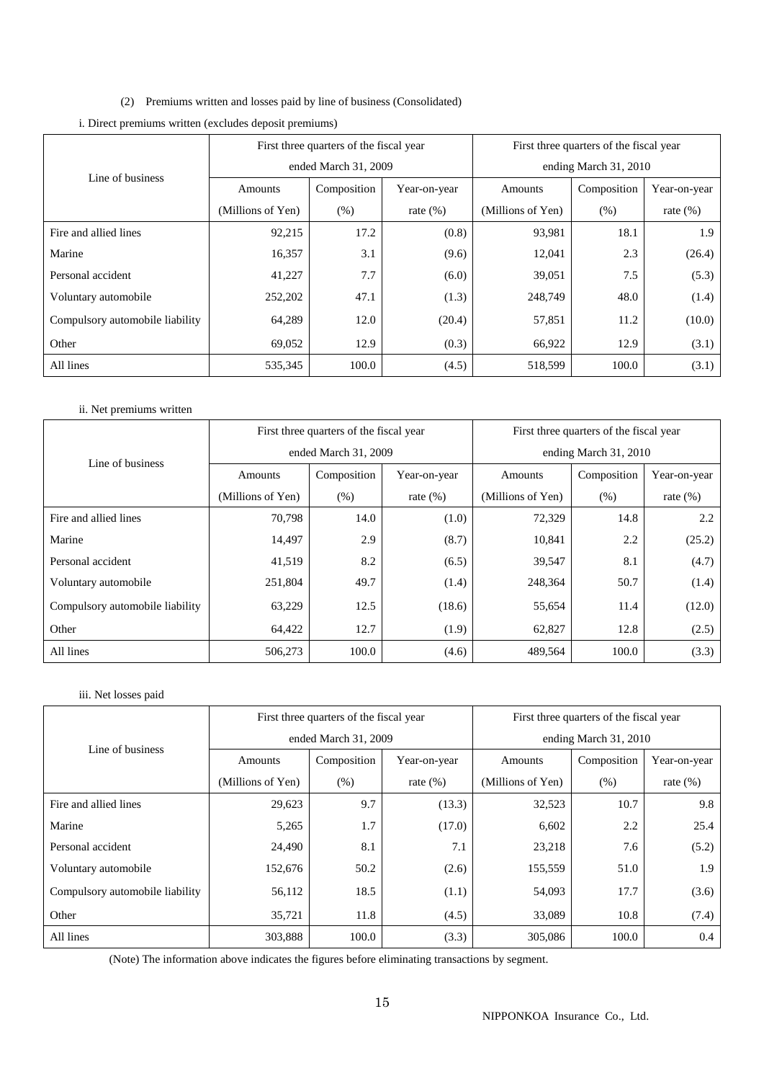(2) Premiums written and losses paid by line of business (Consolidated)

|                                 | First three quarters of the fiscal year |             |              | First three quarters of the fiscal year |             |              |
|---------------------------------|-----------------------------------------|-------------|--------------|-----------------------------------------|-------------|--------------|
| Line of business                | ended March 31, 2009                    |             |              | ending March 31, 2010                   |             |              |
|                                 | Amounts                                 | Composition | Year-on-year | Amounts                                 | Composition | Year-on-year |
|                                 | (Millions of Yen)                       | (% )        | rate $(\%)$  | (Millions of Yen)                       | (% )        | rate $(\%)$  |
| Fire and allied lines           | 92,215                                  | 17.2        | (0.8)        | 93,981                                  | 18.1        | 1.9          |
| Marine                          | 16,357                                  | 3.1         | (9.6)        | 12,041                                  | 2.3         | (26.4)       |
| Personal accident               | 41,227                                  | 7.7         | (6.0)        | 39,051                                  | 7.5         | (5.3)        |
| Voluntary automobile            | 252,202                                 | 47.1        | (1.3)        | 248,749                                 | 48.0        | (1.4)        |
| Compulsory automobile liability | 64,289                                  | 12.0        | (20.4)       | 57,851                                  | 11.2        | (10.0)       |
| Other                           | 69,052                                  | 12.9        | (0.3)        | 66,922                                  | 12.9        | (3.1)        |
| All lines                       | 535,345                                 | 100.0       | (4.5)        | 518,599                                 | 100.0       | (3.1)        |

i. Direct premiums written (excludes deposit premiums)

## ii. Net premiums written

|                                 | First three quarters of the fiscal year |             |              | First three quarters of the fiscal year |             |              |
|---------------------------------|-----------------------------------------|-------------|--------------|-----------------------------------------|-------------|--------------|
| Line of business                | ended March 31, 2009                    |             |              | ending March 31, 2010                   |             |              |
|                                 | Amounts                                 | Composition | Year-on-year | Amounts                                 | Composition | Year-on-year |
|                                 | (Millions of Yen)                       | (% )        | rate $(\%)$  | (Millions of Yen)                       | (% )        | rate $(\%)$  |
| Fire and allied lines           | 70,798                                  | 14.0        | (1.0)        | 72,329                                  | 14.8        | 2.2          |
| Marine                          | 14,497                                  | 2.9         | (8.7)        | 10,841                                  | 2.2         | (25.2)       |
| Personal accident               | 41,519                                  | 8.2         | (6.5)        | 39,547                                  | 8.1         | (4.7)        |
| Voluntary automobile            | 251,804                                 | 49.7        | (1.4)        | 248,364                                 | 50.7        | (1.4)        |
| Compulsory automobile liability | 63,229                                  | 12.5        | (18.6)       | 55,654                                  | 11.4        | (12.0)       |
| Other                           | 64,422                                  | 12.7        | (1.9)        | 62,827                                  | 12.8        | (2.5)        |
| All lines                       | 506,273                                 | 100.0       | (4.6)        | 489,564                                 | 100.0       | (3.3)        |

### iii. Net losses paid

|                                 | First three quarters of the fiscal year |             |              | First three quarters of the fiscal year |             |              |
|---------------------------------|-----------------------------------------|-------------|--------------|-----------------------------------------|-------------|--------------|
| Line of business                | ended March 31, 2009                    |             |              | ending March 31, 2010                   |             |              |
|                                 | Amounts                                 | Composition | Year-on-year | Amounts                                 | Composition | Year-on-year |
|                                 | (Millions of Yen)                       | (% )        | rate $(\%)$  | (Millions of Yen)                       | (% )        | rate $(\%)$  |
| Fire and allied lines           | 29,623                                  | 9.7         | (13.3)       | 32,523                                  | 10.7        | 9.8          |
| Marine                          | 5,265                                   | 1.7         | (17.0)       | 6,602                                   | 2.2         | 25.4         |
| Personal accident               | 24,490                                  | 8.1         | 7.1          | 23,218                                  | 7.6         | (5.2)        |
| Voluntary automobile            | 152,676                                 | 50.2        | (2.6)        | 155,559                                 | 51.0        | 1.9          |
| Compulsory automobile liability | 56,112                                  | 18.5        | (1.1)        | 54,093                                  | 17.7        | (3.6)        |
| Other                           | 35,721                                  | 11.8        | (4.5)        | 33,089                                  | 10.8        | (7.4)        |
| All lines                       | 303,888                                 | 100.0       | (3.3)        | 305,086                                 | 100.0       | 0.4          |

(Note) The information above indicates the figures before eliminating transactions by segment.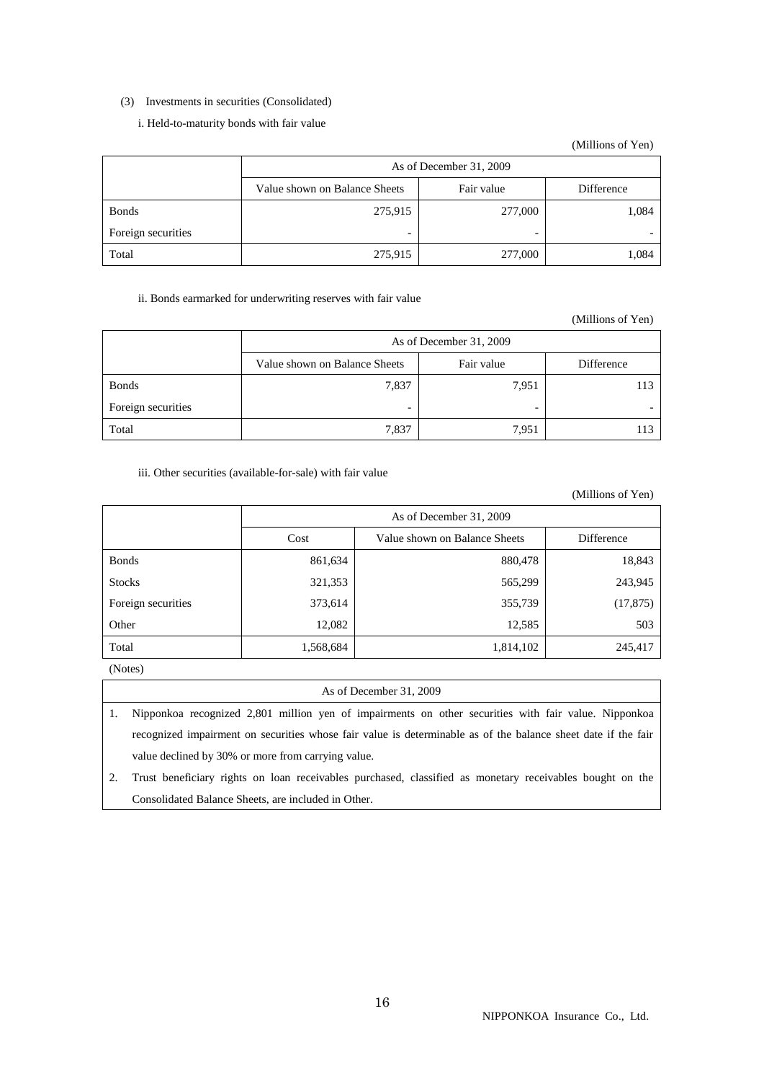### (3) Investments in securities (Consolidated)

## i. Held-to-maturity bonds with fair value

#### (Millions of Yen)

|                    | As of December 31, 2009       |            |            |  |  |  |
|--------------------|-------------------------------|------------|------------|--|--|--|
|                    | Value shown on Balance Sheets | Fair value | Difference |  |  |  |
| <b>Bonds</b>       | 275,915                       | 277,000    | 1,084      |  |  |  |
| Foreign securities |                               | -          |            |  |  |  |
| Total              | 275,915                       | 277,000    | 1,084      |  |  |  |

### ii. Bonds earmarked for underwriting reserves with fair value

#### (Millions of Yen)

|                    | As of December 31, 2009                                   |                          |     |  |  |  |  |
|--------------------|-----------------------------------------------------------|--------------------------|-----|--|--|--|--|
|                    | Fair value<br>Difference<br>Value shown on Balance Sheets |                          |     |  |  |  |  |
| <b>Bonds</b>       | 7,837                                                     | 7,951                    | 113 |  |  |  |  |
| Foreign securities | $\overline{\phantom{0}}$                                  | $\overline{\phantom{0}}$ |     |  |  |  |  |
| Total              | 7,837                                                     | 7,951                    | 113 |  |  |  |  |

### iii. Other securities (available-for-sale) with fair value

(Millions of Yen)

|                    | As of December 31, 2009 |                               |            |  |  |
|--------------------|-------------------------|-------------------------------|------------|--|--|
|                    | Cost                    | Value shown on Balance Sheets | Difference |  |  |
| <b>Bonds</b>       | 861,634                 | 880,478                       | 18,843     |  |  |
| <b>Stocks</b>      | 321,353                 | 565,299                       | 243,945    |  |  |
| Foreign securities | 373,614                 | 355,739                       | (17, 875)  |  |  |
| Other              | 12,082                  | 12,585                        | 503        |  |  |
| Total              | 1,568,684               | 1,814,102                     | 245,417    |  |  |

(Notes)

## As of December 31, 2009

- 1. Nipponkoa recognized 2,801 million yen of impairments on other securities with fair value. Nipponkoa recognized impairment on securities whose fair value is determinable as of the balance sheet date if the fair value declined by 30% or more from carrying value.
- 2. Trust beneficiary rights on loan receivables purchased, classified as monetary receivables bought on the Consolidated Balance Sheets, are included in Other.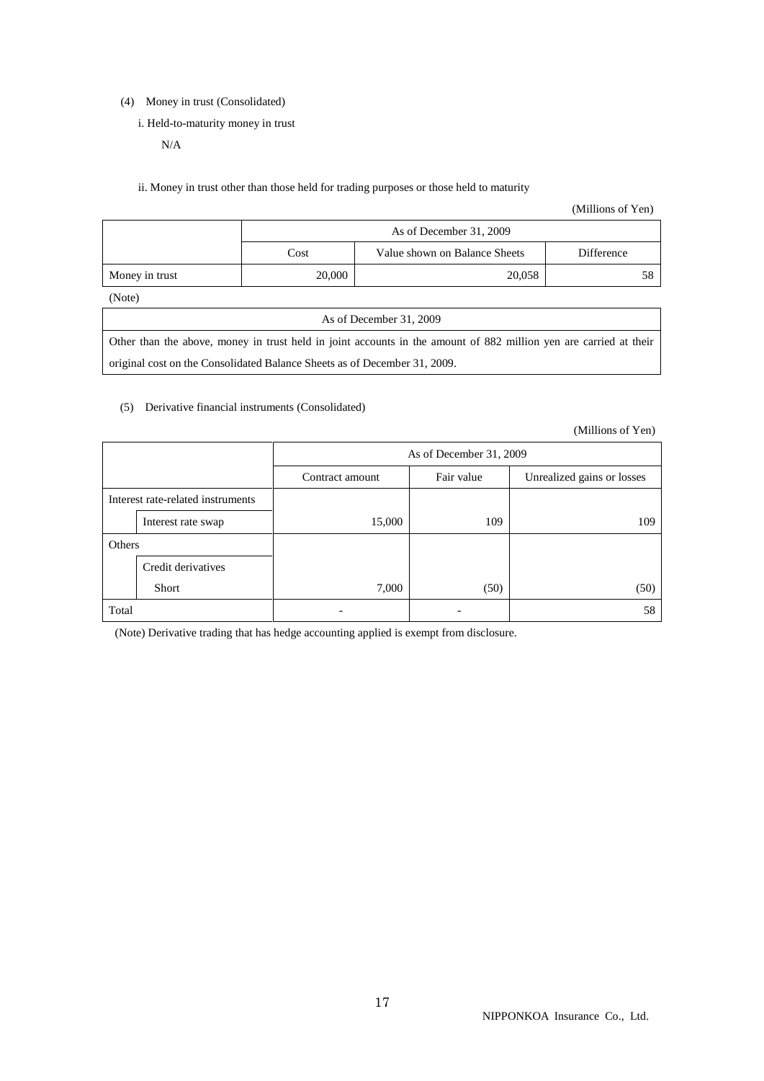(4) Money in trust (Consolidated)

i. Held-to-maturity money in trust

N/A

ii. Money in trust other than those held for trading purposes or those held to maturity

(Millions of Yen)

|                                                                                                               |        | As of December 31, 2009       |            |  |  |
|---------------------------------------------------------------------------------------------------------------|--------|-------------------------------|------------|--|--|
|                                                                                                               | Cost   | Value shown on Balance Sheets | Difference |  |  |
| Money in trust                                                                                                | 20,000 | 20,058                        | 58         |  |  |
| (Note)                                                                                                        |        |                               |            |  |  |
| As of December 31, 2009                                                                                       |        |                               |            |  |  |
| Other than the chara money in tweet hold in joint eccounts in the emount of 000 million year against at their |        |                               |            |  |  |

Other than the above, money in trust held in joint accounts in the amount of 882 million yen are carried at their original cost on the Consolidated Balance Sheets as of December 31, 2009.

#### (5) Derivative financial instruments (Consolidated)

(Millions of Yen)

|        |                                   |                 | As of December 31, 2009                  |      |  |  |  |  |
|--------|-----------------------------------|-----------------|------------------------------------------|------|--|--|--|--|
|        |                                   | Contract amount | Fair value<br>Unrealized gains or losses |      |  |  |  |  |
|        | Interest rate-related instruments |                 |                                          |      |  |  |  |  |
|        | Interest rate swap                | 15,000          | 109                                      | 109  |  |  |  |  |
| Others |                                   |                 |                                          |      |  |  |  |  |
|        | Credit derivatives                |                 |                                          |      |  |  |  |  |
|        | Short                             | 7,000           | (50)                                     | (50) |  |  |  |  |
| Total  |                                   |                 |                                          | 58   |  |  |  |  |

(Note) Derivative trading that has hedge accounting applied is exempt from disclosure.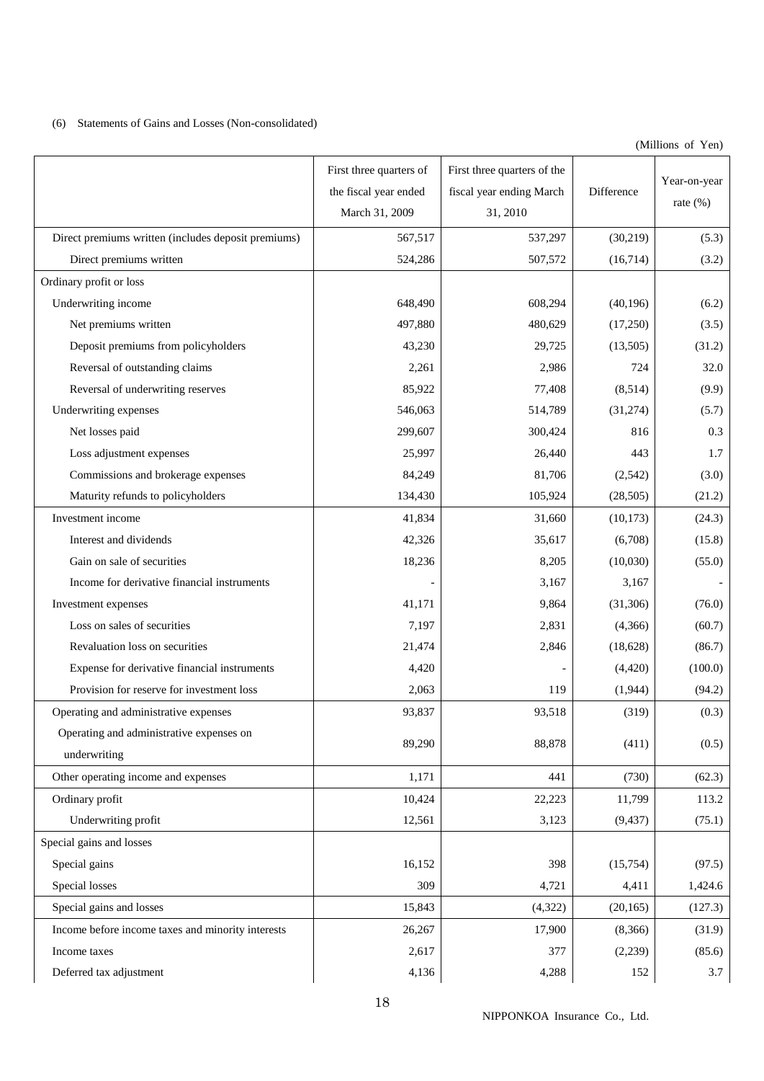## (6) Statements of Gains and Losses (Non-consolidated)

(Millions of Yen)

|                                                     | First three quarters of | First three quarters of the |            |              |
|-----------------------------------------------------|-------------------------|-----------------------------|------------|--------------|
|                                                     | the fiscal year ended   | fiscal year ending March    | Difference | Year-on-year |
|                                                     | March 31, 2009          | 31, 2010                    |            | rate $(\%)$  |
| Direct premiums written (includes deposit premiums) | 567,517                 | 537,297                     | (30, 219)  | (5.3)        |
| Direct premiums written                             | 524,286                 | 507,572                     | (16,714)   | (3.2)        |
| Ordinary profit or loss                             |                         |                             |            |              |
| Underwriting income                                 | 648,490                 | 608,294                     | (40, 196)  | (6.2)        |
| Net premiums written                                | 497,880                 | 480,629                     | (17,250)   | (3.5)        |
| Deposit premiums from policyholders                 | 43,230                  | 29,725                      | (13,505)   | (31.2)       |
| Reversal of outstanding claims                      | 2,261                   | 2,986                       | 724        | 32.0         |
| Reversal of underwriting reserves                   | 85,922                  | 77,408                      | (8,514)    | (9.9)        |
| Underwriting expenses                               | 546,063                 | 514,789                     | (31,274)   | (5.7)        |
| Net losses paid                                     | 299,607                 | 300,424                     | 816        | 0.3          |
| Loss adjustment expenses                            | 25,997                  | 26,440                      | 443        | 1.7          |
| Commissions and brokerage expenses                  | 84,249                  | 81,706                      | (2,542)    | (3.0)        |
| Maturity refunds to policyholders                   | 134,430                 | 105,924                     | (28, 505)  | (21.2)       |
| Investment income                                   | 41,834                  | 31,660                      | (10, 173)  | (24.3)       |
| Interest and dividends                              | 42,326                  | 35,617                      | (6,708)    | (15.8)       |
| Gain on sale of securities                          | 18,236                  | 8,205                       | (10,030)   | (55.0)       |
| Income for derivative financial instruments         |                         | 3,167                       | 3,167      |              |
| Investment expenses                                 | 41,171                  | 9,864                       | (31, 306)  | (76.0)       |
| Loss on sales of securities                         | 7,197                   | 2,831                       | (4,366)    | (60.7)       |
| Revaluation loss on securities                      | 21,474                  | 2,846                       | (18,628)   | (86.7)       |
| Expense for derivative financial instruments        | 4,420                   |                             | (4, 420)   | (100.0)      |
| Provision for reserve for investment loss           | 2,063                   | 119                         | (1,944)    | (94.2)       |
| Operating and administrative expenses               | 93,837                  | 93,518                      | (319)      | (0.3)        |
| Operating and administrative expenses on            | 89,290                  | 88,878                      | (411)      | (0.5)        |
| underwriting                                        |                         |                             |            |              |
| Other operating income and expenses                 | 1,171                   | 441                         | (730)      | (62.3)       |
| Ordinary profit                                     | 10,424                  | 22,223                      | 11,799     | 113.2        |
| Underwriting profit                                 | 12,561                  | 3,123                       | (9, 437)   | (75.1)       |
| Special gains and losses                            |                         |                             |            |              |
| Special gains                                       | 16,152                  | 398                         | (15,754)   | (97.5)       |
| Special losses                                      | 309                     | 4,721                       | 4,411      | 1,424.6      |
| Special gains and losses                            | 15,843                  | (4,322)                     | (20, 165)  | (127.3)      |
| Income before income taxes and minority interests   | 26,267                  | 17,900                      | (8,366)    | (31.9)       |
| Income taxes                                        | 2,617                   | 377                         | (2,239)    | (85.6)       |
| Deferred tax adjustment                             | 4,136                   | 4,288                       | 152        | 3.7          |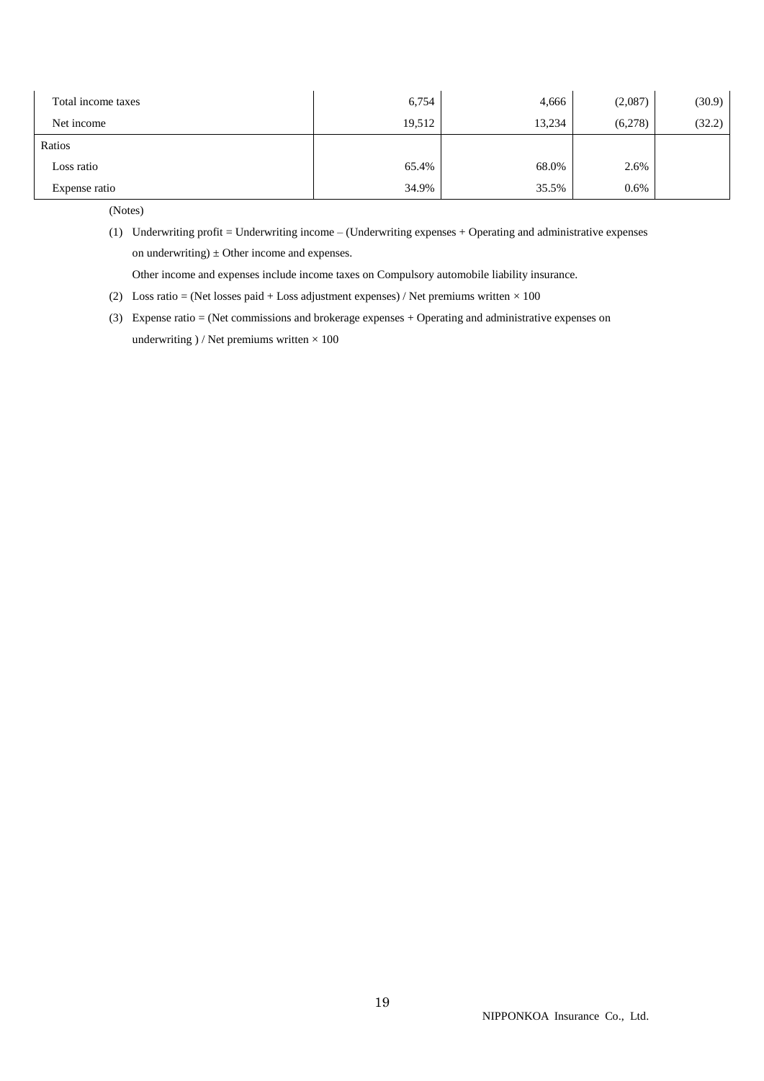| Total income taxes | 6,754  | 4,666  | (2,087) | (30.9) |
|--------------------|--------|--------|---------|--------|
| Net income         | 19,512 | 13,234 | (6,278) | (32.2) |
| Ratios             |        |        |         |        |
| Loss ratio         | 65.4%  | 68.0%  | 2.6%    |        |
| Expense ratio      | 34.9%  | 35.5%  | 0.6%    |        |

(Notes)

(1) Underwriting profit = Underwriting income – (Underwriting expenses + Operating and administrative expenses on underwriting)  $\pm$  Other income and expenses.

Other income and expenses include income taxes on Compulsory automobile liability insurance.

- (2) Loss ratio = (Net losses paid + Loss adjustment expenses) / Net premiums written  $\times$  100
- (3) Expense ratio = (Net commissions and brokerage expenses + Operating and administrative expenses on underwriting  $)/$  Net premiums written  $\times 100$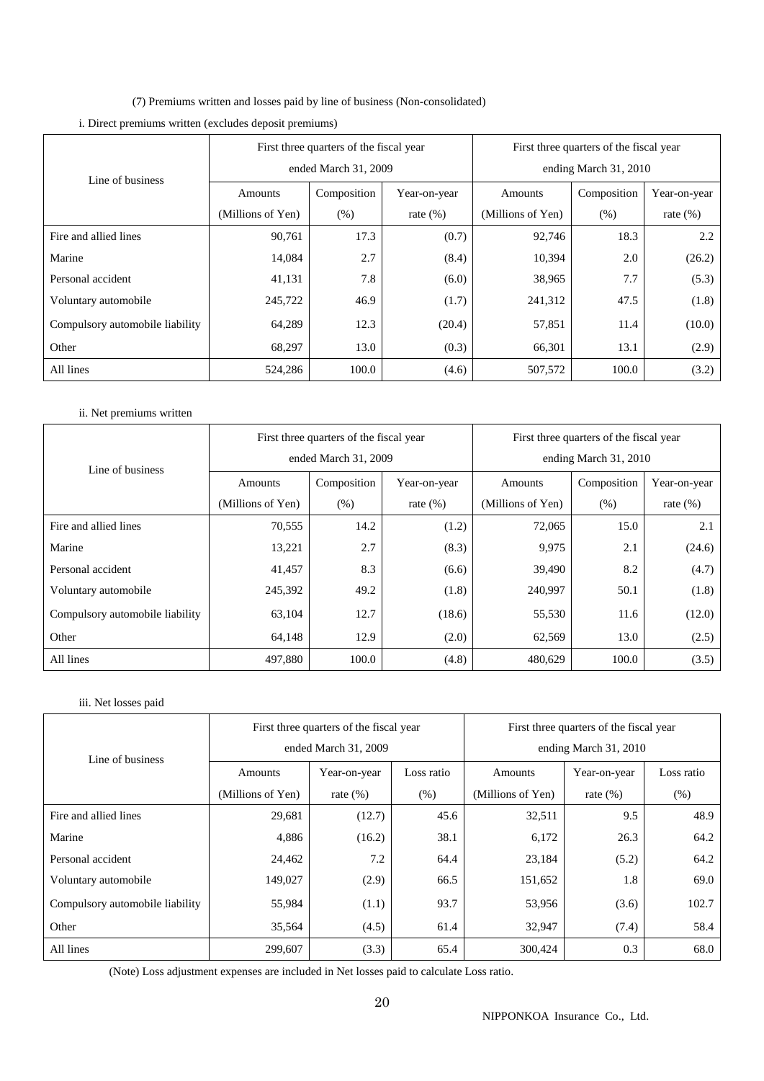(7) Premiums written and losses paid by line of business (Non-consolidated)

|                                 |                   | First three quarters of the fiscal year |              | First three quarters of the fiscal year |                       |              |  |  |
|---------------------------------|-------------------|-----------------------------------------|--------------|-----------------------------------------|-----------------------|--------------|--|--|
| Line of business                |                   | ended March 31, 2009                    |              |                                         | ending March 31, 2010 |              |  |  |
|                                 | Amounts           | Composition                             | Year-on-year | Amounts                                 | Composition           | Year-on-year |  |  |
|                                 | (Millions of Yen) | (% )                                    | rate $(\%)$  | (Millions of Yen)                       | (% )                  | rate $(\%)$  |  |  |
| Fire and allied lines           | 90,761            | 17.3                                    | (0.7)        | 92,746                                  | 18.3                  | 2.2          |  |  |
| Marine                          | 14,084            | 2.7                                     | (8.4)        | 10,394                                  | 2.0                   | (26.2)       |  |  |
| Personal accident               | 41,131            | 7.8                                     | (6.0)        | 38,965                                  | 7.7                   | (5.3)        |  |  |
| Voluntary automobile            | 245,722           | 46.9                                    | (1.7)        | 241,312                                 | 47.5                  | (1.8)        |  |  |
| Compulsory automobile liability | 64,289            | 12.3                                    | (20.4)       | 57,851                                  | 11.4                  | (10.0)       |  |  |
| Other                           | 68,297            | 13.0                                    | (0.3)        | 66,301                                  | 13.1                  | (2.9)        |  |  |
| All lines                       | 524,286           | 100.0                                   | (4.6)        | 507,572                                 | 100.0                 | (3.2)        |  |  |

# i. Direct premiums written (excludes deposit premiums)

## ii. Net premiums written

|                                 |                   | First three quarters of the fiscal year |              | First three quarters of the fiscal year |             |              |  |
|---------------------------------|-------------------|-----------------------------------------|--------------|-----------------------------------------|-------------|--------------|--|
| Line of business                |                   | ended March 31, 2009                    |              | ending March 31, 2010                   |             |              |  |
|                                 | Amounts           | Composition                             | Year-on-year | Amounts                                 | Composition | Year-on-year |  |
|                                 | (Millions of Yen) | (% )                                    | rate $(\%)$  | (Millions of Yen)                       | (% )        | rate $(\%)$  |  |
| Fire and allied lines           | 70,555            | 14.2                                    | (1.2)        | 72,065                                  | 15.0        | 2.1          |  |
| Marine                          | 13,221            | 2.7                                     | (8.3)        | 9,975                                   | 2.1         | (24.6)       |  |
| Personal accident               | 41,457            | 8.3                                     | (6.6)        | 39,490                                  | 8.2         | (4.7)        |  |
| Voluntary automobile            | 245,392           | 49.2                                    | (1.8)        | 240,997                                 | 50.1        | (1.8)        |  |
| Compulsory automobile liability | 63,104            | 12.7                                    | (18.6)       | 55,530                                  | 11.6        | (12.0)       |  |
| Other                           | 64,148            | 12.9                                    | (2.0)        | 62,569                                  | 13.0        | (2.5)        |  |
| All lines                       | 497,880           | 100.0                                   | (4.8)        | 480,629                                 | 100.0       | (3.5)        |  |

## iii. Net losses paid

|                                 | First three quarters of the fiscal year |                      |            | First three quarters of the fiscal year |              |            |  |
|---------------------------------|-----------------------------------------|----------------------|------------|-----------------------------------------|--------------|------------|--|
| Line of business                |                                         | ended March 31, 2009 |            | ending March 31, 2010                   |              |            |  |
|                                 | Amounts                                 | Year-on-year         | Loss ratio | Amounts                                 | Year-on-year | Loss ratio |  |
|                                 | (Millions of Yen)                       | rate $(\%)$          | (% )       | (Millions of Yen)                       | rate $(\%)$  | (% )       |  |
| Fire and allied lines           | 29,681                                  | (12.7)               | 45.6       | 32,511                                  | 9.5          | 48.9       |  |
| Marine                          | 4,886                                   | (16.2)               | 38.1       | 6,172                                   | 26.3         | 64.2       |  |
| Personal accident               | 24,462                                  | 7.2                  | 64.4       | 23,184                                  | (5.2)        | 64.2       |  |
| Voluntary automobile            | 149,027                                 | (2.9)                | 66.5       | 151,652                                 | 1.8          | 69.0       |  |
| Compulsory automobile liability | 55,984                                  | (1.1)                | 93.7       | 53,956                                  | (3.6)        | 102.7      |  |
| Other                           | 35,564                                  | (4.5)                | 61.4       | 32,947                                  | (7.4)        | 58.4       |  |
| All lines                       | 299,607                                 | (3.3)                | 65.4       | 300,424                                 | 0.3          | 68.0       |  |

(Note) Loss adjustment expenses are included in Net losses paid to calculate Loss ratio.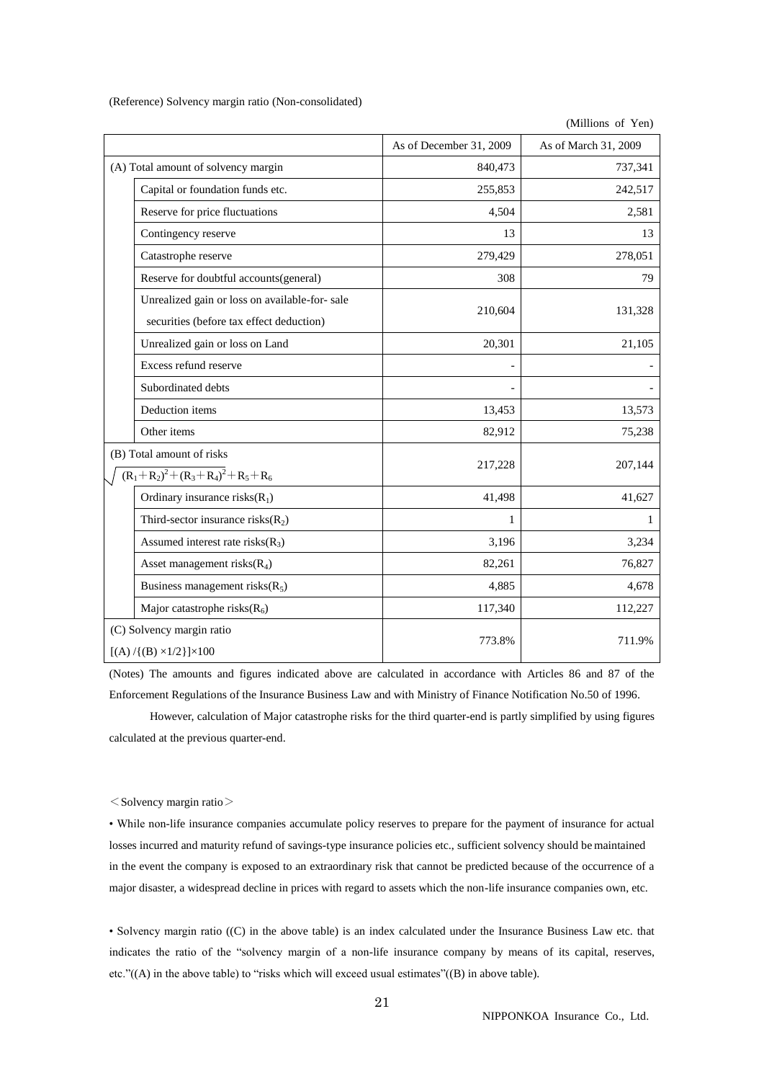(Reference) Solvency margin ratio (Non-consolidated)

|                                                                                           |                         | (Millions of Yen)    |
|-------------------------------------------------------------------------------------------|-------------------------|----------------------|
|                                                                                           | As of December 31, 2009 | As of March 31, 2009 |
| (A) Total amount of solvency margin                                                       | 840,473                 | 737,341              |
| Capital or foundation funds etc.                                                          | 255,853                 | 242,517              |
| Reserve for price fluctuations                                                            | 4,504                   | 2,581                |
| Contingency reserve                                                                       | 13                      | 13                   |
| Catastrophe reserve                                                                       | 279,429                 | 278,051              |
| Reserve for doubtful accounts(general)                                                    | 308                     | 79                   |
| Unrealized gain or loss on available-for-sale<br>securities (before tax effect deduction) | 210,604                 | 131,328              |
| Unrealized gain or loss on Land                                                           | 20,301                  | 21,105               |
| Excess refund reserve                                                                     |                         |                      |
| Subordinated debts                                                                        |                         |                      |
| Deduction items                                                                           | 13,453                  | 13,573               |
| Other items                                                                               | 82,912                  | 75,238               |
| (B) Total amount of risks<br>$(R_1+R_2)^2+(R_3+R_4)^2+R_5+R_6$                            | 217,228                 | 207,144              |
| Ordinary insurance $risks(R_1)$                                                           | 41,498                  | 41,627               |
| Third-sector insurance risks $(R_2)$                                                      | 1                       | 1                    |
| Assumed interest rate risks $(R_3)$                                                       | 3,196                   | 3,234                |
| Asset management risks $(R_4)$                                                            | 82,261                  | 76,827               |
| Business management risks $(R_5)$                                                         | 4,885                   | 4,678                |
| Major catastrophe risks $(R_6)$                                                           | 117,340                 | 112,227              |
| (C) Solvency margin ratio<br>$[(A) / {(B) \times 1/2}] \times 100$                        | 773.8%                  | 711.9%               |

(Notes) The amounts and figures indicated above are calculated in accordance with Articles 86 and 87 of the Enforcement Regulations of the Insurance Business Law and with Ministry of Finance Notification No.50 of 1996.

 However, calculation of Major catastrophe risks for the third quarter-end is partly simplified by using figures calculated at the previous quarter-end.

 $<$  Solvency margin ratio $>$ 

• While non-life insurance companies accumulate policy reserves to prepare for the payment of insurance for actual losses incurred and maturity refund of savings-type insurance policies etc., sufficient solvency should be maintained in the event the company is exposed to an extraordinary risk that cannot be predicted because of the occurrence of a major disaster, a widespread decline in prices with regard to assets which the non-life insurance companies own, etc.

• Solvency margin ratio ((C) in the above table) is an index calculated under the Insurance Business Law etc. that indicates the ratio of the "solvency margin of a non-life insurance company by means of its capital, reserves, etc."((A) in the above table) to "risks which will exceed usual estimates"((B) in above table).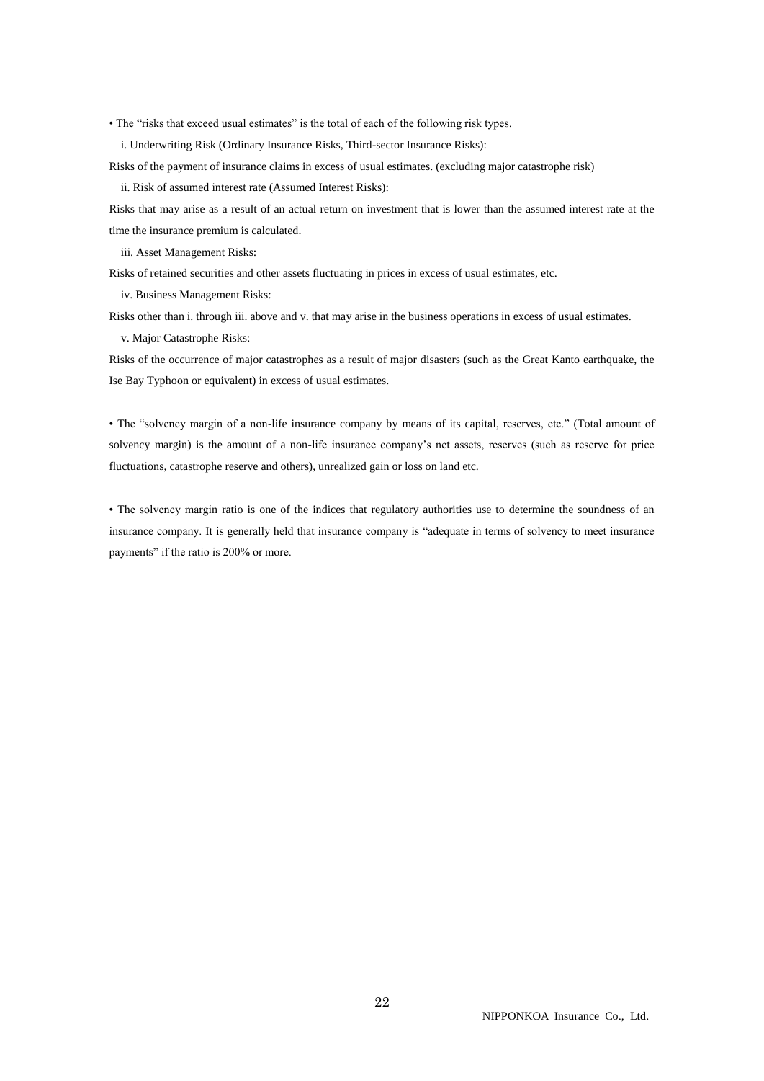• The "risks that exceed usual estimates" is the total of each of the following risk types.

i. Underwriting Risk (Ordinary Insurance Risks, Third-sector Insurance Risks):

Risks of the payment of insurance claims in excess of usual estimates. (excluding major catastrophe risk)

ii. Risk of assumed interest rate (Assumed Interest Risks):

Risks that may arise as a result of an actual return on investment that is lower than the assumed interest rate at the time the insurance premium is calculated.

iii. Asset Management Risks:

Risks of retained securities and other assets fluctuating in prices in excess of usual estimates, etc.

iv. Business Management Risks:

Risks other than i. through iii. above and v. that may arise in the business operations in excess of usual estimates.

v. Major Catastrophe Risks:

Risks of the occurrence of major catastrophes as a result of major disasters (such as the Great Kanto earthquake, the Ise Bay Typhoon or equivalent) in excess of usual estimates.

• The "solvency margin of a non-life insurance company by means of its capital, reserves, etc." (Total amount of solvency margin) is the amount of a non-life insurance company's net assets, reserves (such as reserve for price fluctuations, catastrophe reserve and others), unrealized gain or loss on land etc.

• The solvency margin ratio is one of the indices that regulatory authorities use to determine the soundness of an insurance company. It is generally held that insurance company is "adequate in terms of solvency to meet insurance payments" if the ratio is 200% or more.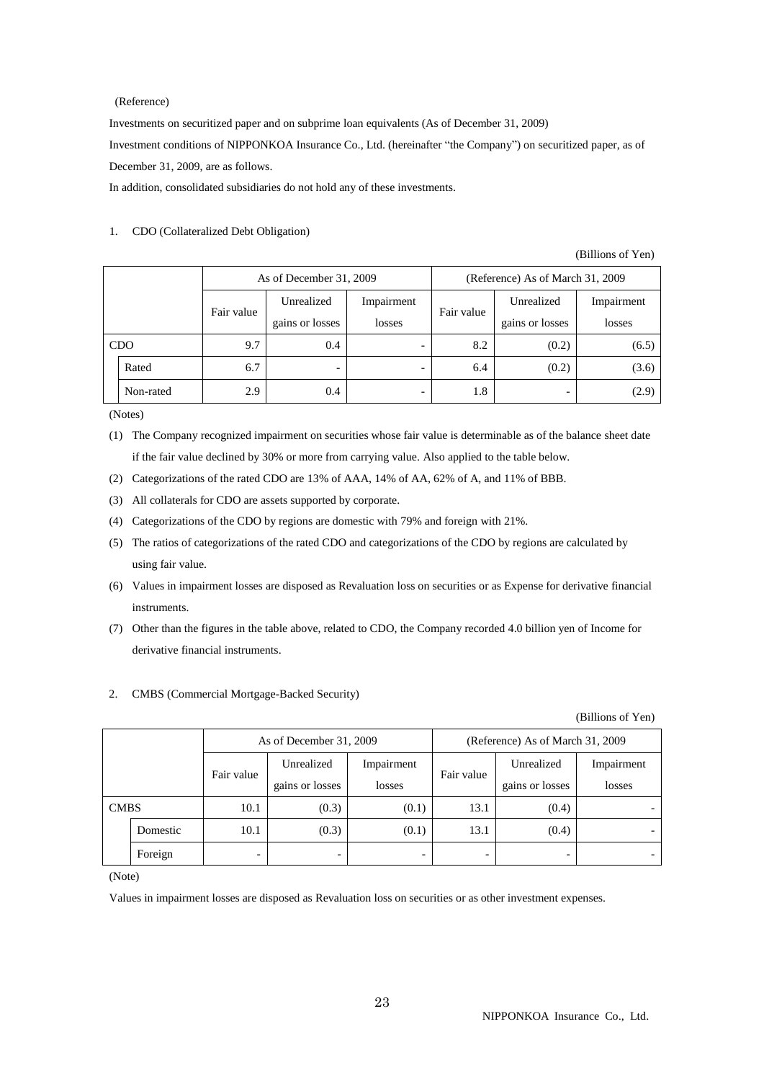### (Reference)

Investments on securitized paper and on subprime loan equivalents (As of December 31, 2009) Investment conditions of NIPPONKOA Insurance Co., Ltd. (hereinafter "the Company") on securitized paper, as of December 31, 2009, are as follows.

In addition, consolidated subsidiaries do not hold any of these investments.

### 1. CDO (Collateralized Debt Obligation)

(Billions of Yen)

|            |           |            | As of December 31, 2009 |            |            | (Reference) As of March 31, 2009 |            |  |
|------------|-----------|------------|-------------------------|------------|------------|----------------------------------|------------|--|
|            |           | Fair value | Unrealized              | Impairment | Fair value | Unrealized                       | Impairment |  |
|            |           |            | gains or losses         | losses     |            | gains or losses                  | losses     |  |
| <b>CDO</b> |           | 9.7        | 0.4                     | -          | 8.2        | (0.2)                            | (6.5)      |  |
|            | Rated     | 6.7        |                         | -          | 6.4        | (0.2)                            | (3.6)      |  |
|            | Non-rated | 2.9        | 0.4                     | -          | 1.8        | -                                | (2.9)      |  |

(Notes)

- (1) The Company recognized impairment on securities whose fair value is determinable as of the balance sheet date if the fair value declined by 30% or more from carrying value. Also applied to the table below.
- (2) Categorizations of the rated CDO are 13% of AAA, 14% of AA, 62% of A, and 11% of BBB.
- (3) All collaterals for CDO are assets supported by corporate.
- (4) Categorizations of the CDO by regions are domestic with 79% and foreign with 21%.
- (5) The ratios of categorizations of the rated CDO and categorizations of the CDO by regions are calculated by using fair value.
- (6) Values in impairment losses are disposed as Revaluation loss on securities or as Expense for derivative financial instruments.
- (7) Other than the figures in the table above, related to CDO, the Company recorded 4.0 billion yen of Income for derivative financial instruments.

### 2. CMBS (Commercial Mortgage-Backed Security)

(Billions of Yen)

|             |          |                          | As of December 31, 2009  |            | (Reference) As of March 31, 2009 |                 |            |
|-------------|----------|--------------------------|--------------------------|------------|----------------------------------|-----------------|------------|
|             |          | Fair value               | Unrealized               | Impairment | Fair value                       | Unrealized      | Impairment |
|             |          |                          | gains or losses          | losses     |                                  | gains or losses | losses     |
| <b>CMBS</b> |          | 10.1                     | (0.3)                    | (0.1)      | 13.1                             | (0.4)           |            |
|             | Domestic | 10.1                     | (0.3)                    | (0.1)      | 13.1                             | (0.4)           |            |
|             | Foreign  | $\overline{\phantom{a}}$ | $\overline{\phantom{0}}$ |            |                                  | -               |            |

(Note)

Values in impairment losses are disposed as Revaluation loss on securities or as other investment expenses.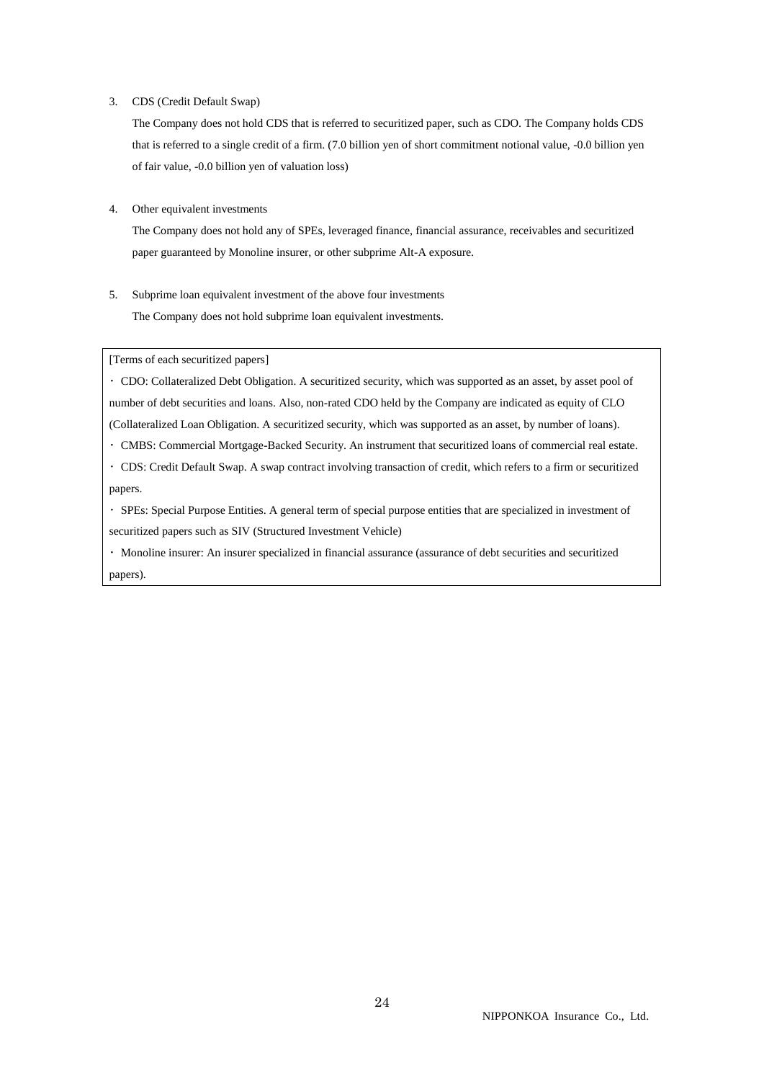#### 3. CDS (Credit Default Swap)

The Company does not hold CDS that is referred to securitized paper, such as CDO. The Company holds CDS that is referred to a single credit of a firm. (7.0 billion yen of short commitment notional value, -0.0 billion yen of fair value, -0.0 billion yen of valuation loss)

4. Other equivalent investments

The Company does not hold any of SPEs, leveraged finance, financial assurance, receivables and securitized paper guaranteed by Monoline insurer, or other subprime Alt-A exposure.

5. Subprime loan equivalent investment of the above four investments The Company does not hold subprime loan equivalent investments.

[Terms of each securitized papers]

・ CDO: Collateralized Debt Obligation. A securitized security, which was supported as an asset, by asset pool of number of debt securities and loans. Also, non-rated CDO held by the Company are indicated as equity of CLO (Collateralized Loan Obligation. A securitized security, which was supported as an asset, by number of loans).

- ・ CMBS: Commercial Mortgage-Backed Security. An instrument that securitized loans of commercial real estate.
- ・ CDS: Credit Default Swap. A swap contract involving transaction of credit, which refers to a firm or securitized papers.
- ・ SPEs: Special Purpose Entities. A general term of special purpose entities that are specialized in investment of securitized papers such as SIV (Structured Investment Vehicle)

・ Monoline insurer: An insurer specialized in financial assurance (assurance of debt securities and securitized papers).